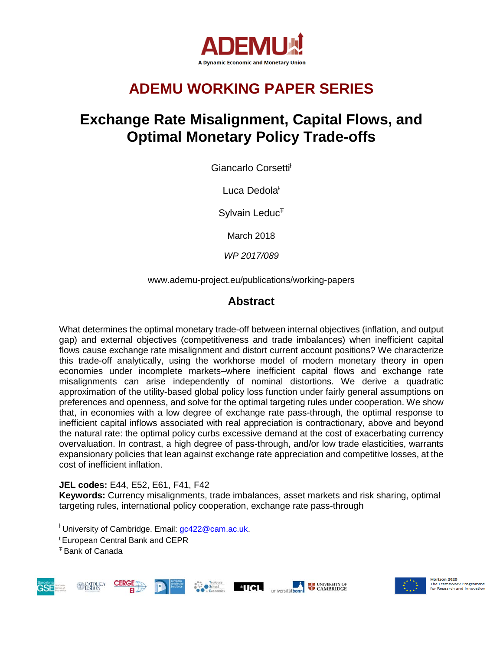

# **ADEMU WORKING PAPER SERIES**

# **Exchange Rate Misalignment, Capital Flows, and Optimal Monetary Policy Trade-offs**

Giancarlo Corsetti<sup>t</sup>

Luca Dedola<sup>ŧ</sup>

Sylvain Leduc<sup>T</sup>

March 2018

*WP 2017/089*

www.ademu-project.eu/publications/working-papers

## **Abstract**

What determines the optimal monetary trade-off between internal objectives (inflation, and output gap) and external objectives (competitiveness and trade imbalances) when inefficient capital flows cause exchange rate misalignment and distort current account positions? We characterize this trade-off analytically, using the workhorse model of modern monetary theory in open economies under incomplete markets–where inefficient capital flows and exchange rate misalignments can arise independently of nominal distortions. We derive a quadratic approximation of the utility-based global policy loss function under fairly general assumptions on preferences and openness, and solve for the optimal targeting rules under cooperation. We show that, in economies with a low degree of exchange rate pass-through, the optimal response to inefficient capital inflows associated with real appreciation is contractionary, above and beyond the natural rate: the optimal policy curbs excessive demand at the cost of exacerbating currency overvaluation. In contrast, a high degree of pass-through, and/or low trade elasticities, warrants expansionary policies that lean against exchange rate appreciation and competitive losses, at the cost of inefficient inflation.

### **JEL codes:** E44, E52, E61, F41, F42

**Keywords:** Currency misalignments, trade imbalances, asset markets and risk sharing, optimal targeting rules, international policy cooperation, exchange rate pass-through

<sup>t</sup> University of Cambridge. Email: gc422@cam.ac.uk.

<sup>Ŧ</sup> Bank of Canada









<sup>ŧ</sup> European Central Bank and CEPR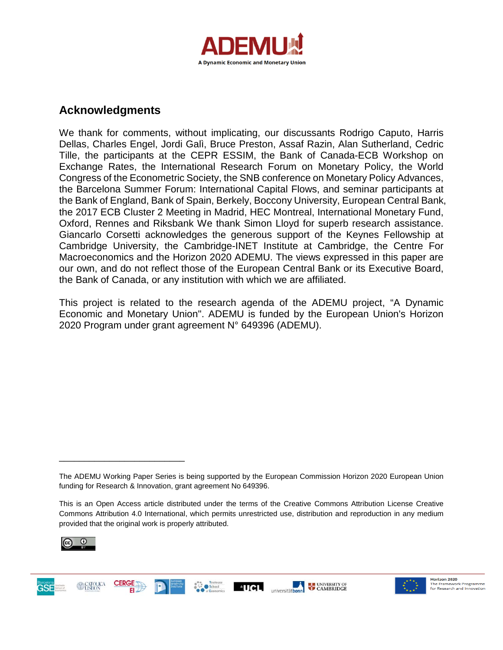

## **Acknowledgments**

We thank for comments, without implicating, our discussants Rodrigo Caputo, Harris Dellas, Charles Engel, Jordi Galì, Bruce Preston, Assaf Razin, Alan Sutherland, Cedric Tille, the participants at the CEPR ESSIM, the Bank of Canada-ECB Workshop on Exchange Rates, the International Research Forum on Monetary Policy, the World Congress of the Econometric Society, the SNB conference on Monetary Policy Advances, the Barcelona Summer Forum: International Capital Flows, and seminar participants at the Bank of England, Bank of Spain, Berkely, Boccony University, European Central Bank, the 2017 ECB Cluster 2 Meeting in Madrid, HEC Montreal, International Monetary Fund, Oxford, Rennes and Riksbank We thank Simon Lloyd for superb research assistance. Giancarlo Corsetti acknowledges the generous support of the Keynes Fellowship at Cambridge University, the Cambridge-INET Institute at Cambridge, the Centre For Macroeconomics and the Horizon 2020 ADEMU. The views expressed in this paper are our own, and do not reflect those of the European Central Bank or its Executive Board, the Bank of Canada, or any institution with which we are affiliated.

This project is related to the research agenda of the ADEMU project, "A Dynamic Economic and Monetary Union". ADEMU is funded by the European Union's Horizon 2020 Program under grant agreement N° 649396 (ADEMU).

**AUCL** 

universitätbonn



\_\_\_\_\_\_\_\_\_\_\_\_\_\_\_\_\_\_\_\_\_\_\_\_\_





**ELE** UNIVERSITY OF

The ADEMU Working Paper Series is being supported by the European Commission Horizon 2020 European Union funding for Research & Innovation, grant agreement No 649396.

This is an Open Access article distributed under the terms of the Creative Commons Attribution License Creative Commons Attribution 4.0 International, which permits unrestricted use, distribution and reproduction in any medium provided that the original work is properly attributed.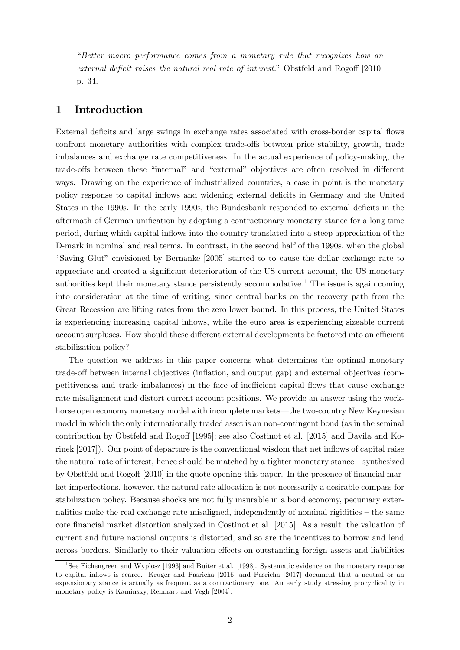"*Better macro performance comes from a monetary rule that recognizes how an external deficit raises the natural real rate of interest.*" Obstfeld and Rogoff [2010] p. 34.

### 1 Introduction

External deficits and large swings in exchange rates associated with cross-border capital flows confront monetary authorities with complex trade-offs between price stability, growth, trade imbalances and exchange rate competitiveness. In the actual experience of policy-making, the trade-offs between these "internal" and "external" objectives are often resolved in different ways. Drawing on the experience of industrialized countries, a case in point is the monetary policy response to capital inflows and widening external deficits in Germany and the United States in the 1990s. In the early 1990s, the Bundesbank responded to external deficits in the aftermath of German unification by adopting a contractionary monetary stance for a long time period, during which capital inflows into the country translated into a steep appreciation of the D-mark in nominal and real terms. In contrast, in the second half of the 1990s, when the global "Saving Glut" envisioned by Bernanke [2005] started to to cause the dollar exchange rate to appreciate and created a significant deterioration of the US current account, the US monetary authorities kept their monetary stance persistently accommodative.1 The issue is again coming into consideration at the time of writing, since central banks on the recovery path from the Great Recession are lifting rates from the zero lower bound. In this process, the United States is experiencing increasing capital inflows, while the euro area is experiencing sizeable current account surpluses. How should these different external developments be factored into an efficient stabilization policy?

The question we address in this paper concerns what determines the optimal monetary trade-off between internal objectives (inflation, and output gap) and external objectives (competitiveness and trade imbalances) in the face of inefficient capital flows that cause exchange rate misalignment and distort current account positions. We provide an answer using the workhorse open economy monetary model with incomplete markets–the two-country New Keynesian model in which the only internationally traded asset is an non-contingent bond (as in the seminal contribution by Obstfeld and Rogoff [1995]; see also Costinot et al. [2015] and Davila and Korinek [2017]). Our point of departure is the conventional wisdom that net inflows of capital raise the natural rate of interest, hence should be matched by a tighter monetary stance–synthesized by Obstfeld and Rogoff [2010] in the quote opening this paper. In the presence of financial market imperfections, however, the natural rate allocation is not necessarily a desirable compass for stabilization policy. Because shocks are not fully insurable in a bond economy, pecuniary externalities make the real exchange rate misaligned, independently of nominal rigidities — the same core financial market distortion analyzed in Costinot et al. [2015]. As a result, the valuation of current and future national outputs is distorted, and so are the incentives to borrow and lend across borders. Similarly to their valuation effects on outstanding foreign assets and liabilities

<sup>1</sup>See Eichengreen and Wyplosz [1993] and Buiter et al. [1998]. Systematic evidence on the monetary response to capital inflows is scarce. Kruger and Pasricha [2016] and Pasricha [2017] document that a neutral or an expansionary stance is actually as frequent as a contractionary one. An early study stressing procyclicality in monetary policy is Kaminsky, Reinhart and Vegh [2004].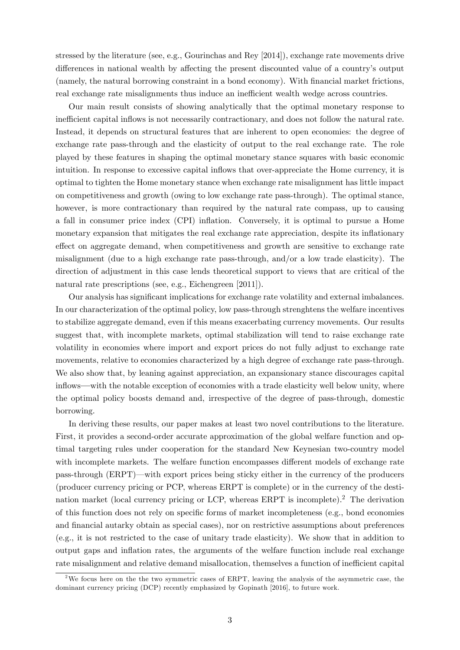stressed by the literature (see, e.g., Gourinchas and Rey [2014]), exchange rate movements drive differences in national wealth by affecting the present discounted value of a country's output (namely, the natural borrowing constraint in a bond economy). With financial market frictions, real exchange rate misalignments thus induce an inefficient wealth wedge across countries.

Our main result consists of showing analytically that the optimal monetary response to inefficient capital inflows is not necessarily contractionary, and does not follow the natural rate. Instead, it depends on structural features that are inherent to open economies: the degree of exchange rate pass-through and the elasticity of output to the real exchange rate. The role played by these features in shaping the optimal monetary stance squares with basic economic intuition. In response to excessive capital inflows that over-appreciate the Home currency, it is optimal to tighten the Home monetary stance when exchange rate misalignment has little impact on competitiveness and growth (owing to low exchange rate pass-through). The optimal stance, however, is more contractionary than required by the natural rate compass, up to causing a fall in consumer price index (CPI) inflation. Conversely, it is optimal to pursue a Home monetary expansion that mitigates the real exchange rate appreciation, despite its inflationary effect on aggregate demand, when competitiveness and growth are sensitive to exchange rate misalignment (due to a high exchange rate pass-through, and/or a low trade elasticity). The direction of adjustment in this case lends theoretical support to views that are critical of the natural rate prescriptions (see, e.g., Eichengreen [2011]).

Our analysis has significant implications for exchange rate volatility and external imbalances. In our characterization of the optimal policy, low pass-through strenghtens the welfare incentives to stabilize aggregate demand, even if this means exacerbating currency movements. Our results suggest that, with incomplete markets, optimal stabilization will tend to raise exchange rate volatility in economies where import and export prices do not fully adjust to exchange rate movements, relative to economies characterized by a high degree of exchange rate pass-through. We also show that, by leaning against appreciation, an expansionary stance discourages capital inflows–with the notable exception of economies with a trade elasticity well below unity, where the optimal policy boosts demand and, irrespective of the degree of pass-through, domestic borrowing.

In deriving these results, our paper makes at least two novel contributions to the literature. First, it provides a second-order accurate approximation of the global welfare function and optimal targeting rules under cooperation for the standard New Keynesian two-country model with incomplete markets. The welfare function encompasses different models of exchange rate pass-through (ERPT)–with export prices being sticky either in the currency of the producers (producer currency pricing or PCP, whereas ERPT is complete) or in the currency of the destination market (local currency pricing or LCP, whereas ERPT is incomplete).<sup>2</sup> The derivation of this function does not rely on specific forms of market incompleteness (e.g., bond economies and financial autarky obtain as special cases), nor on restrictive assumptions about preferences (e.g., it is not restricted to the case of unitary trade elasticity). We show that in addition to output gaps and inflation rates, the arguments of the welfare function include real exchange rate misalignment and relative demand misallocation, themselves a function of inefficient capital

<sup>&</sup>lt;sup>2</sup>We focus here on the the two symmetric cases of ERPT, leaving the analysis of the asymmetric case, the dominant currency pricing (DCP) recently emphasized by Gopinath [2016], to future work.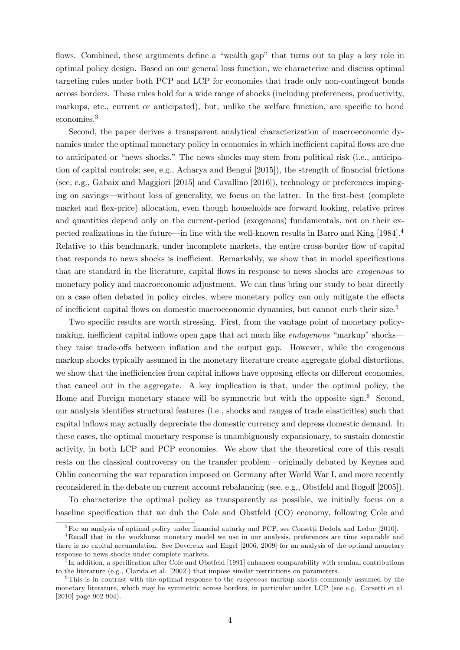flows. Combined, these arguments define a "wealth gap" that turns out to play a key role in optimal policy design. Based on our general loss function, we characterize and discuss optimal targeting rules under both PCP and LCP for economies that trade only non-contingent bonds across borders. These rules hold for a wide range of shocks (including preferences, productivity, markups, etc., current or anticipated), but, unlike the welfare function, are specific to bond economies.3

Second, the paper derives a transparent analytical characterization of macroeconomic dynamics under the optimal monetary policy in economies in which inefficient capital flows are due to anticipated or "news shocks." The news shocks may stem from political risk (i.e., anticipation of capital controls; see, e.g., Acharya and Bengui [2015]), the strength of financial frictions (see, e.g., Gabaix and Maggiori [2015] and Cavallino [2016]), technology or preferences impinging on savings–without loss of generality, we focus on the latter. In the first-best (complete market and flex-price) allocation, even though households are forward looking, relative prices and quantities depend only on the current-period (exogenous) fundamentals, not on their expected realizations in the future–in line with the well-known results in Barro and King [1984].4 Relative to this benchmark, under incomplete markets, the entire cross-border flow of capital that responds to news shocks is inefficient. Remarkably, we show that in model specifications that are standard in the literature, capital flows in response to news shocks are *exogenous* to monetary policy and macroeconomic adjustment. We can thus bring our study to bear directly on a case often debated in policy circles, where monetary policy can only mitigate the effects of inefficient capital flows on domestic macroeconomic dynamics, but cannot curb their size.<sup>5</sup>

Two specific results are worth stressing. First, from the vantage point of monetary policymaking, inefficient capital inflows open gaps that act much like *endogenous* "markup" shocksthey raise trade-offs between inflation and the output gap. However, while the exogenous markup shocks typically assumed in the monetary literature create aggregate global distortions, we show that the inefficiencies from capital inflows have opposing effects on different economies, that cancel out in the aggregate. A key implication is that, under the optimal policy, the Home and Foreign monetary stance will be symmetric but with the opposite sign. $6$  Second, our analysis identifies structural features (i.e., shocks and ranges of trade elasticities) such that capital inflows may actually depreciate the domestic currency and depress domestic demand. In these cases, the optimal monetary response is unambiguously expansionary, to sustain domestic activity, in both LCP and PCP economies. We show that the theoretical core of this result rests on the classical controversy on the transfer problem–originally debated by Keynes and Ohlin concerning the war reparation imposed on Germany after World War I, and more recently reconsidered in the debate on current account rebalancing (see, e.g., Obstfeld and Rogoff [2005]).

To characterize the optimal policy as transparently as possible, we initially focus on a baseline specification that we dub the Cole and Obstfeld (CO) economy, following Cole and

<sup>&</sup>lt;sup>3</sup>For an analysis of optimal policy under financial autarky and PCP, see Corsetti Dedola and Leduc [2010].

<sup>4</sup>Recall that in the workhorse monetary model we use in our analysis, preferences are time separable and there is no capital accumulation. See Devereux and Engel [2006, 2009] for an analysis of the optimal monetary response to news shocks under complete markets.

<sup>&</sup>lt;sup>5</sup>In addition, a specification after Cole and Obstfeld [1991] enhances comparability with seminal contributions to the literature (e.g., Clarida et al. [2002]) that impose similar restrictions on parameters.

<sup>6</sup>This is in contrast with the optimal response to the *exogenous* markup shocks commonly assumed by the monetary literature, which may be symmetric across borders, in particular under LCP (see e.g. Corsetti et al. [2010] page 902-904).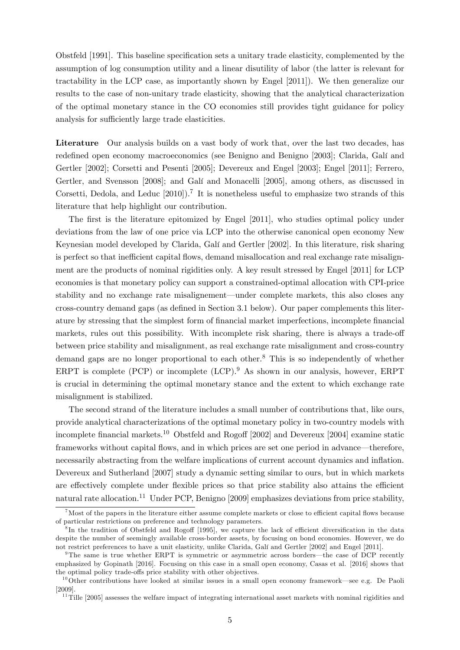Obstfeld [1991]. This baseline specification sets a unitary trade elasticity, complemented by the assumption of log consumption utility and a linear disutility of labor (the latter is relevant for tractability in the LCP case, as importantly shown by Engel [2011]). We then generalize our results to the case of non-unitary trade elasticity, showing that the analytical characterization of the optimal monetary stance in the CO economies still provides tight guidance for policy analysis for sufficiently large trade elasticities.

Literature Our analysis builds on a vast body of work that, over the last two decades, has redefined open economy macroeconomics (see Benigno and Benigno [2003]; Clarida, Galí and Gertler [2002]; Corsetti and Pesenti [2005]; Devereux and Engel [2003]; Engel [2011]; Ferrero, Gertler, and Svensson [2008]; and Galí and Monacelli [2005], among others, as discussed in Corsetti, Dedola, and Leduc  $[2010]$ .<sup>7</sup> It is nonetheless useful to emphasize two strands of this literature that help highlight our contribution.

The first is the literature epitomized by Engel [2011], who studies optimal policy under deviations from the law of one price via LCP into the otherwise canonical open economy New Keynesian model developed by Clarida, Galí and Gertler [2002]. In this literature, risk sharing is perfect so that inefficient capital flows, demand misallocation and real exchange rate misalignment are the products of nominal rigidities only. A key result stressed by Engel [2011] for LCP economies is that monetary policy can support a constrained-optimal allocation with CPI-price stability and no exchange rate misalignement–under complete markets, this also closes any cross-country demand gaps (as defined in Section 3.1 below). Our paper complements this literature by stressing that the simplest form of financial market imperfections, incomplete financial markets, rules out this possibility. With incomplete risk sharing, there is always a trade-off between price stability and misalignment, as real exchange rate misalignment and cross-country demand gaps are no longer proportional to each other.<sup>8</sup> This is so independently of whether ERPT is complete (PCP) or incomplete  $(LCP)$ .<sup>9</sup> As shown in our analysis, however, ERPT is crucial in determining the optimal monetary stance and the extent to which exchange rate misalignment is stabilized.

The second strand of the literature includes a small number of contributions that, like ours, provide analytical characterizations of the optimal monetary policy in two-country models with incomplete financial markets.<sup>10</sup> Obstfeld and Rogoff [2002] and Devereux [2004] examine static frameworks without capital flows, and in which prices are set one period in advance–therefore, necessarily abstracting from the welfare implications of current account dynamics and inflation. Devereux and Sutherland [2007] study a dynamic setting similar to ours, but in which markets are effectively complete under flexible prices so that price stability also attains the efficient natural rate allocation.<sup>11</sup> Under PCP, Benigno [2009] emphasizes deviations from price stability,

<sup>&</sup>lt;sup>7</sup>Most of the papers in the literature either assume complete markets or close to efficient capital flows because of particular restrictions on preference and technology parameters.

 ${}^{8}$ In the tradition of Obstfeld and Rogoff [1995], we capture the lack of efficient diversification in the data despite the number of seemingly available cross-border assets, by focusing on bond economies. However, we do not restrict preferences to have a unit elasticity, unlike Clarida, Galí and Gertler [2002] and Engel [2011].

<sup>9</sup>The same is true whether ERPT is symmetric or asymmetric across borders–the case of DCP recently emphasized by Gopinath [2016]. Focusing on this case in a small open economy, Casas et al. [2016] shows that the optimal policy trade-offs price stability with other objectives.

 $10^{\circ}$ Other contributions have looked at similar issues in a small open economy framework—see e.g. De Paoli [2009].

 $11$ Tille [2005] assesses the welfare impact of integrating international asset markets with nominal rigidities and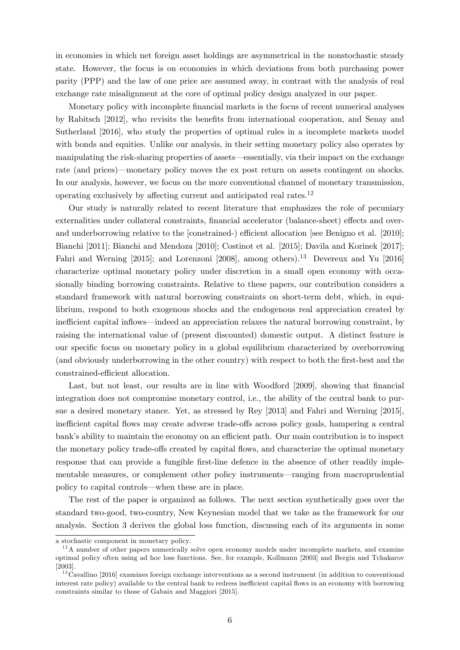in economies in which net foreign asset holdings are asymmetrical in the nonstochastic steady state. However, the focus is on economies in which deviations from both purchasing power parity (PPP) and the law of one price are assumed away, in contrast with the analysis of real exchange rate misalignment at the core of optimal policy design analyzed in our paper.

Monetary policy with incomplete financial markets is the focus of recent numerical analyses by Rabitsch [2012], who revisits the benefits from international cooperation, and Senay and Sutherland [2016], who study the properties of optimal rules in a incomplete markets model with bonds and equities. Unlike our analysis, in their setting monetary policy also operates by manipulating the risk-sharing properties of assets–essentially, via their impact on the exchange rate (and prices)–monetary policy moves the ex post return on assets contingent on shocks. In our analysis, however, we focus on the more conventional channel of monetary transmission, operating exclusively by affecting current and anticipated real rates. $12$ 

Our study is naturally related to recent literature that emphasizes the role of pecuniary externalities under collateral constraints, financial accelerator (balance-sheet) effects and overand underborrowing relative to the  $[constraint]$  efficient allocation  $[see Benjamin]$  equals and  $[2010]$ ; Bianchi [2011]; Bianchi and Mendoza [2010]; Costinot et al. [2015]; Davila and Korinek [2017]; Fahri and Werning [2015]; and Lorenzoni [2008], among others).<sup>13</sup> Devereux and Yu [2016] characterize optimal monetary policy under discretion in a small open economy with occasionally binding borrowing constraints. Relative to these papers, our contribution considers a standard framework with natural borrowing constraints on short-term debt, which, in equilibrium, respond to both exogenous shocks and the endogenous real appreciation created by inefficient capital inflows—indeed an appreciation relaxes the natural borrowing constraint, by raising the international value of (present discounted) domestic output. A distinct feature is our specific focus on monetary policy in a global equilibrium characterized by overborrowing (and obviously underborrowing in the other country) with respect to both the first-best and the constrained-efficient allocation.

Last, but not least, our results are in line with Woodford [2009], showing that financial integration does not compromise monetary control, i.e., the ability of the central bank to pursue a desired monetary stance. Yet, as stressed by Rey [2013] and Fahri and Werning [2015], inefficient capital flows may create adverse trade-offs across policy goals, hampering a central bank's ability to maintain the economy on an efficient path. Our main contribution is to inspect the monetary policy trade-offs created by capital flows, and characterize the optimal monetary response that can provide a fungible first-line defence in the absence of other readily implementable measures, or complement other policy instruments–ranging from macroprudential policy to capital controls–when these are in place.

The rest of the paper is organized as follows. The next section synthetically goes over the standard two-good, two-country, New Keynesian model that we take as the framework for our analysis. Section 3 derives the global loss function, discussing each of its arguments in some

a stochastic component in monetary policy.

 $12$ A number of other papers numerically solve open economy models under incomplete markets, and examine optimal policy often using ad hoc loss functions. See, for example, Kollmann [2003] and Bergin and Tchakarov [2003].

 $13$ Cavallino [2016] examines foreign exchange interventions as a second instrument (in addition to conventional interest rate policy) available to the central bank to redress inefficient capital flows in an economy with borrowing constraints similar to those of Gabaix and Maggiori [2015].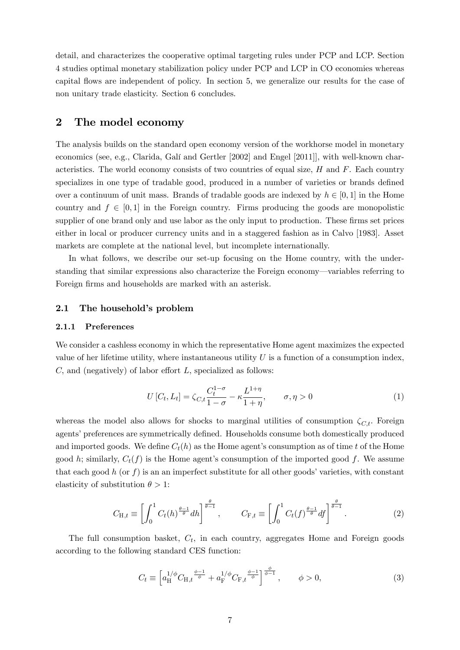detail, and characterizes the cooperative optimal targeting rules under PCP and LCP. Section 4 studies optimal monetary stabilization policy under PCP and LCP in CO economies whereas capital flows are independent of policy. In section 5, we generalize our results for the case of non unitary trade elasticity. Section 6 concludes.

### 2 The model economy

The analysis builds on the standard open economy version of the workhorse model in monetary economics (see, e.g., Clarida, Galí and Gertler [2002] and Engel [2011]], with well-known characteristics. The world economy consists of two countries of equal size, *H* and *F*. Each country specializes in one type of tradable good, produced in a number of varieties or brands defined over a continuum of unit mass. Brands of tradable goods are indexed by  $h \in [0,1]$  in the Home country and  $f \in [0, 1]$  in the Foreign country. Firms producing the goods are monopolistic supplier of one brand only and use labor as the only input to production. These firms set prices either in local or producer currency units and in a staggered fashion as in Calvo [1983]. Asset markets are complete at the national level, but incomplete internationally.

In what follows, we describe our set-up focusing on the Home country, with the understanding that similar expressions also characterize the Foreign economy–variables referring to Foreign firms and households are marked with an asterisk.

### 2.1 The household's problem

#### 2.1.1 Preferences

We consider a cashless economy in which the representative Home agent maximizes the expected value of her lifetime utility, where instantaneous utility *U* is a function of a consumption index,  $C$ , and (negatively) of labor effort  $L$ , specialized as follows:

$$
U[C_t, L_t] = \zeta_{C,t} \frac{C_t^{1-\sigma}}{1-\sigma} - \kappa \frac{L^{1+\eta}}{1+\eta}, \qquad \sigma, \eta > 0
$$
 (1)

whereas the model also allows for shocks to marginal utilities of consumption  $\zeta_{C,t}$ *.* Foreign agents' preferences are symmetrically defined. Households consume both domestically produced and imported goods. We define  $C_t(h)$  as the Home agent's consumption as of time *t* of the Home good *h*; similarly,  $C_t(f)$  is the Home agent's consumption of the imported good *f*. We assume that each good  $h$  (or  $f$ ) is an an imperfect substitute for all other goods' varieties, with constant elasticity of substitution  $\theta > 1$ :

$$
C_{\mathcal{H},t} \equiv \left[ \int_0^1 C_t(h)^{\frac{\theta-1}{\theta}} dh \right]^{\frac{\theta}{\theta-1}}, \qquad C_{\mathcal{F},t} \equiv \left[ \int_0^1 C_t(f)^{\frac{\theta-1}{\theta}} df \right]^{\frac{\theta}{\theta-1}}.
$$
 (2)

The full consumption basket, *Ct*, in each country, aggregates Home and Foreign goods according to the following standard CES function:

$$
C_t \equiv \left[ a_H^{1/\phi} C_{H,t}^{\phi} \frac{\phi^{-1}}{\phi} + a_F^{1/\phi} C_{F,t}^{\phi} \frac{\phi^{-1}}{\phi} \right]_{\phi^{-1}}^{\phi}, \qquad \phi > 0,
$$
\n(3)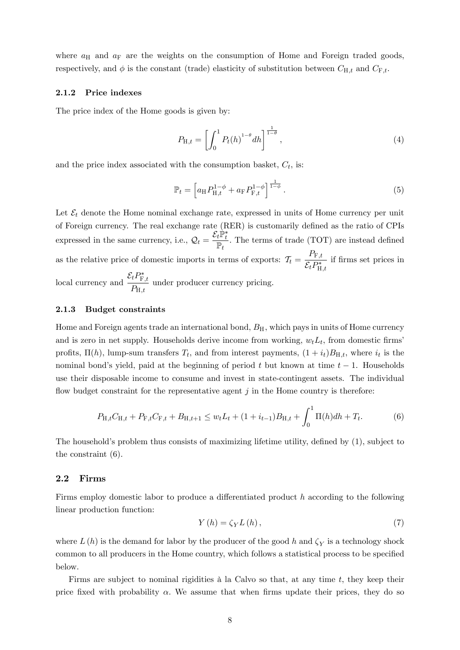where  $a_{\rm H}$  and  $a_{\rm F}$  are the weights on the consumption of Home and Foreign traded goods, respectively, and  $\phi$  is the constant (trade) elasticity of substitution between  $C_{H,t}$  and  $C_{F,t}$ .

#### 2.1.2 Price indexes

The price index of the Home goods is given by:

$$
P_{\mathrm{H},t} = \left[ \int_0^1 P_t(h)^{1-\theta} dh \right]^{\frac{1}{1-\theta}}, \tag{4}
$$

and the price index associated with the consumption basket,  $C_t$ , is:

$$
\mathbb{P}_{t} = \left[ a_{\rm H} P_{\rm H, t}^{1-\phi} + a_{\rm F} P_{\rm F, t}^{1-\phi} \right]^{\frac{1}{1-\phi}}.
$$
\n(5)

Let  $\mathcal{E}_t$  denote the Home nominal exchange rate, expressed in units of Home currency per unit of Foreign currency. The real exchange rate (RER) is customarily defined as the ratio of CPIs expressed in the same currency, i.e.,  $\mathcal{Q}_t = \frac{\mathcal{E}_t \mathbb{P}_t^*}{\mathbb{P}_t}$  $\mathbb{P}_t$ *.* The terms of trade (TOT) are instead defined as the relative price of domestic imports in terms of exports:  $\tau_t = \frac{P_{\text{F},t}}{\mathcal{E}_t P_{\text{H},t}^*}$ if firms set prices in local currency and  $\frac{\mathcal{E}_t P_{\mathrm{F},t}^*}{P}$  $\frac{\partial^2 F_{\mu,\mu}}{\partial P_{\mu,\mu}}$  under producer currency pricing.

### 2.1.3 Budget constraints

Home and Foreign agents trade an international bond,  $B<sub>H</sub>$ , which pays in units of Home currency and is zero in net supply. Households derive income from working,  $w_t L_t$ , from domestic firms' profits,  $\Pi(h)$ , lump-sum transfers  $T_t$ , and from interest payments,  $(1 + i_t)B_{H,t}$ , where  $i_t$  is the nominal bond's yield, paid at the beginning of period *t* but known at time *t* − 1. Households use their disposable income to consume and invest in state-contingent assets. The individual flow budget constraint for the representative agent  $j$  in the Home country is therefore:

$$
P_{\mathcal{H},t}C_{\mathcal{H},t} + P_{\mathcal{F},t}C_{\mathcal{F},t} + B_{\mathcal{H},t+1} \le w_t L_t + (1 + i_{t-1})B_{\mathcal{H},t} + \int_0^1 \Pi(h)dh + T_t.
$$
 (6)

The household's problem thus consists of maximizing lifetime utility, defined by (1), subject to the constraint (6).

#### 2.2 Firms

Firms employ domestic labor to produce a differentiated product *h* according to the following linear production function:

$$
Y(h) = \zeta_Y L(h),\tag{7}
$$

where  $L(h)$  is the demand for labor by the producer of the good h and  $\zeta_Y$  is a technology shock common to all producers in the Home country, which follows a statistical process to be specified below.

Firms are subject to nominal rigidities à la Calvo so that, at any time *t,* they keep their price fixed with probability  $\alpha$ . We assume that when firms update their prices, they do so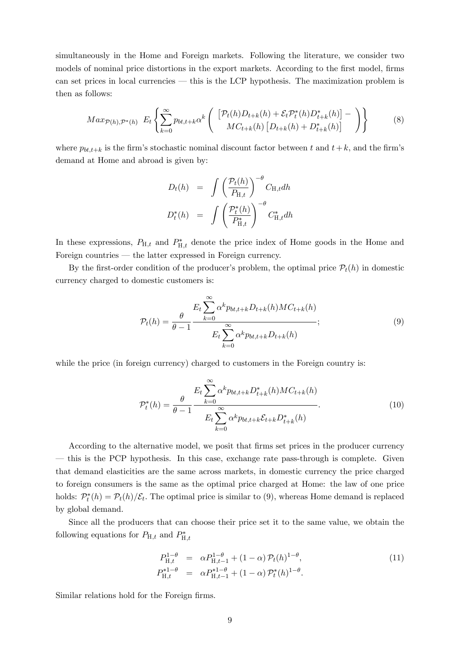simultaneously in the Home and Foreign markets. Following the literature, we consider two models of nominal price distortions in the export markets. According to the first model, firms can set prices in local currencies – this is the LCP hypothesis. The maximization problem is then as follows:

$$
Max_{\mathcal{P}(h),\mathcal{P}^*(h)} E_t \left\{ \sum_{k=0}^{\infty} p_{bt,t+k} \alpha^k \left( \begin{array}{c} \left[ \mathcal{P}_t(h) D_{t+k}(h) + \mathcal{E}_t \mathcal{P}_t^*(h) D_{t+k}^*(h) \right] - \\ MC_{t+k}(h) \left[ D_{t+k}(h) + D_{t+k}^*(h) \right] \end{array} \right) \right\} \tag{8}
$$

where  $p_{bt,t+k}$  is the firm's stochastic nominal discount factor between t and  $t+k$ , and the firm's demand at Home and abroad is given by:

$$
D_t(h) = \int \left(\frac{\mathcal{P}_t(h)}{P_{\mathrm{H},t}}\right)^{-\theta} C_{\mathrm{H},t} dh
$$
  

$$
D_t^*(h) = \int \left(\frac{\mathcal{P}_t^*(h)}{P_{\mathrm{H},t}^*}\right)^{-\theta} C_{\mathrm{H},t}^* dh
$$

In these expressions,  $P_{H,t}$  and  $P_{H,t}^*$  denote the price index of Home goods in the Home and Foreign countries – the latter expressed in Foreign currency.

By the first-order condition of the producer's problem, the optimal price  $\mathcal{P}_t(h)$  in domestic currency charged to domestic customers is:

$$
\mathcal{P}_t(h) = \frac{\theta}{\theta - 1} \frac{E_t \sum_{k=0}^{\infty} \alpha^k p_{bt, t+k} D_{t+k}(h) M C_{t+k}(h)}{E_t \sum_{k=0}^{\infty} \alpha^k p_{bt, t+k} D_{t+k}(h)};
$$
\n
$$
(9)
$$

while the price (in foreign currency) charged to customers in the Foreign country is:

$$
\mathcal{P}_{t}^{*}(h) = \frac{\theta}{\theta - 1} \frac{E_{t} \sum_{k=0}^{\infty} \alpha^{k} p_{bt, t+k} D_{t+k}^{*}(h) MC_{t+k}(h)}{E_{t} \sum_{k=0}^{\infty} \alpha^{k} p_{bt, t+k} \mathcal{E}_{t+k} D_{t+k}^{*}(h)}.
$$
\n(10)

According to the alternative model, we posit that firms set prices in the producer currency – this is the PCP hypothesis. In this case, exchange rate pass-through is complete. Given that demand elasticities are the same across markets, in domestic currency the price charged to foreign consumers is the same as the optimal price charged at Home: the law of one price holds:  $\mathcal{P}_t^*(h) = \mathcal{P}_t(h)/\mathcal{E}_t$ . The optimal price is similar to (9), whereas Home demand is replaced by global demand.

Since all the producers that can choose their price set it to the same value, we obtain the following equations for  $P_{H,t}$  and  $P_{H,t}^*$ 

$$
P_{\mathrm{H},t}^{1-\theta} = \alpha P_{\mathrm{H},t-1}^{1-\theta} + (1-\alpha) P_t(h)^{1-\theta},
$$
  
\n
$$
P_{\mathrm{H},t}^{*1-\theta} = \alpha P_{\mathrm{H},t-1}^{*1-\theta} + (1-\alpha) P_t^*(h)^{1-\theta}.
$$
\n(11)

Similar relations hold for the Foreign firms.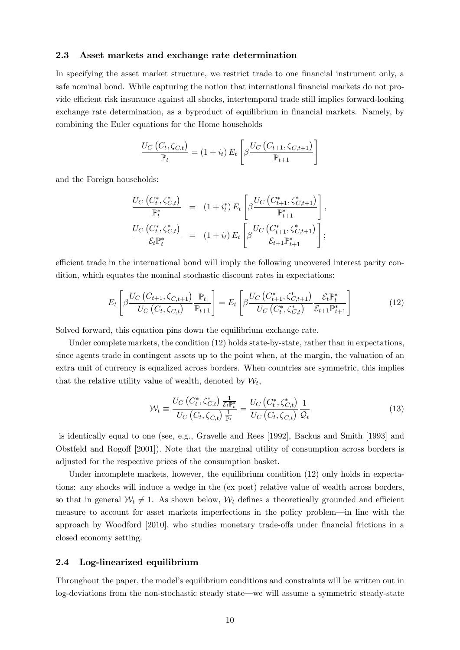### 2.3 Asset markets and exchange rate determination

In specifying the asset market structure, we restrict trade to one financial instrument only, a safe nominal bond. While capturing the notion that international financial markets do not provide efficient risk insurance against all shocks, intertemporal trade still implies forward-looking exchange rate determination, as a byproduct of equilibrium in financial markets. Namely, by combining the Euler equations for the Home households

$$
\frac{U_C(C_t, \zeta_{C,t})}{\mathbb{P}_t} = (1 + i_t) E_t \left[ \beta \frac{U_C(C_{t+1}, \zeta_{C,t+1})}{\mathbb{P}_{t+1}} \right]
$$

and the Foreign households:

$$
\frac{U_C(C_t^*, \zeta_{C,t}^*)}{\mathbb{P}_t^*} = (1 + i_t^*) E_t \left[ \beta \frac{U_C(C_{t+1}^*, \zeta_{C,t+1}^*)}{\mathbb{P}_{t+1}^*} \right],
$$
  

$$
\frac{U_C(C_t^*, \zeta_{C,t}^*)}{\mathcal{E}_t \mathbb{P}_t^*} = (1 + i_t) E_t \left[ \beta \frac{U_C(C_{t+1}^*, \zeta_{C,t+1}^*)}{\mathcal{E}_{t+1} \mathbb{P}_{t+1}^*} \right];
$$

efficient trade in the international bond will imply the following uncovered interest parity condition, which equates the nominal stochastic discount rates in expectations:

$$
E_{t}\left[\beta \frac{U_{C}\left(C_{t+1}, \zeta_{C,t+1}\right)}{U_{C}\left(C_{t}, \zeta_{C,t}\right)} \frac{\mathbb{P}_{t}}{\mathbb{P}_{t+1}}\right] = E_{t}\left[\beta \frac{U_{C}\left(C_{t+1}^{*}, \zeta_{C,t+1}^{*}\right)}{U_{C}\left(C_{t}^{*}, \zeta_{C,t}^{*}\right)} \frac{\mathcal{E}_{t} \mathbb{P}_{t}^{*}}{\mathcal{E}_{t+1} \mathbb{P}_{t+1}^{*}}\right]
$$
(12)

Solved forward, this equation pins down the equilibrium exchange rate.

Under complete markets, the condition (12) holds state-by-state, rather than in expectations, since agents trade in contingent assets up to the point when, at the margin, the valuation of an extra unit of currency is equalized across borders. When countries are symmetric, this implies that the relative utility value of wealth, denoted by  $W_t$ ,

$$
\mathcal{W}_t \equiv \frac{U_C \left(C_t^*, \zeta_{C,t}^* \right) \frac{1}{\mathcal{E}_t \mathbb{P}_t^*}}{U_C \left(C_t, \zeta_{C,t} \right) \frac{1}{\mathbb{P}_t}} = \frac{U_C \left(C_t^*, \zeta_{C,t}^* \right)}{U_C \left(C_t, \zeta_{C,t} \right)} \frac{1}{\mathcal{Q}_t}
$$
\n(13)

is identically equal to one (see, e.g., Gravelle and Rees [1992], Backus and Smith [1993] and Obstfeld and Rogoff [2001]). Note that the marginal utility of consumption across borders is adjusted for the respective prices of the consumption basket.

Under incomplete markets, however, the equilibrium condition (12) only holds in expectations: any shocks will induce a wedge in the (ex post) relative value of wealth across borders, so that in general  $W_t \neq 1$ . As shown below,  $W_t$  defines a theoretically grounded and efficient measure to account for asset markets imperfections in the policy problem–in line with the approach by Woodford  $[2010]$ , who studies monetary trade-offs under financial frictions in a closed economy setting.

#### 2.4 Log-linearized equilibrium

Throughout the paper, the model's equilibrium conditions and constraints will be written out in log-deviations from the non-stochastic steady state–we will assume a symmetric steady-state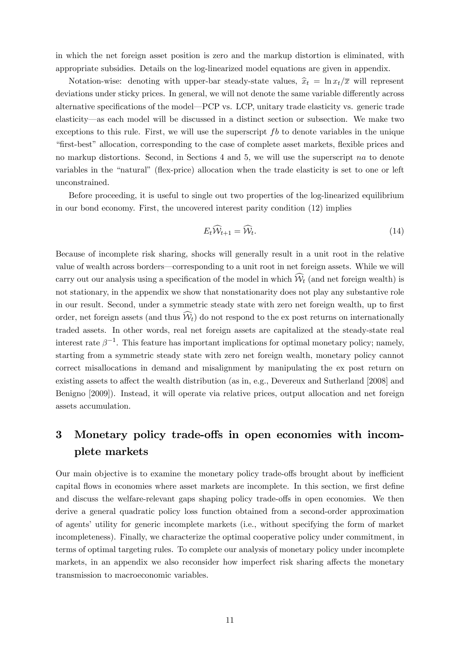in which the net foreign asset position is zero and the markup distortion is eliminated, with appropriate subsidies. Details on the log-linearized model equations are given in appendix.

Notation-wise: denoting with upper-bar steady-state values,  $\hat{x}_t = \ln x_t/\overline{x}$  will represent deviations under sticky prices. In general, we will not denote the same variable differently across alternative specifications of the model–PCP vs. LCP, unitary trade elasticity vs. generic trade elasticity–as each model will be discussed in a distinct section or subsection. We make two exceptions to this rule. First, we will use the superscript *fb* to denote variables in the unique "first-best" allocation, corresponding to the case of complete asset markets, flexible prices and no markup distortions. Second, in Sections 4 and 5, we will use the superscript *na* to denote variables in the "natural" (flex-price) allocation when the trade elasticity is set to one or left unconstrained.

Before proceeding, it is useful to single out two properties of the log-linearized equilibrium in our bond economy. First, the uncovered interest parity condition (12) implies

$$
E_t \widehat{\mathcal{W}}_{t+1} = \widehat{\mathcal{W}}_t. \tag{14}
$$

Because of incomplete risk sharing, shocks will generally result in a unit root in the relative value of wealth across borders–corresponding to a unit root in net foreign assets. While we will carry out our analysis using a specification of the model in which  $\mathcal{W}_t$  (and net foreign wealth) is not stationary, in the appendix we show that nonstationarity does not play any substantive role in our result. Second, under a symmetric steady state with zero net foreign wealth, up to first order, net foreign assets (and thus  $\mathcal{W}_t$ ) do not respond to the ex post returns on internationally traded assets. In other words, real net foreign assets are capitalized at the steady-state real interest rate  $\beta^{-1}$ . This feature has important implications for optimal monetary policy; namely, starting from a symmetric steady state with zero net foreign wealth, monetary policy cannot correct misallocations in demand and misalignment by manipulating the ex post return on existing assets to affect the wealth distribution (as in, e.g., Devereux and Sutherland [2008] and Benigno [2009]). Instead, it will operate via relative prices, output allocation and net foreign assets accumulation.

# 3 Monetary policy trade-offs in open economies with incomplete markets

Our main objective is to examine the monetary policy trade-offs brought about by inefficient capital flows in economies where asset markets are incomplete. In this section, we first define and discuss the welfare-relevant gaps shaping policy trade-offs in open economies. We then derive a general quadratic policy loss function obtained from a second-order approximation of agents' utility for generic incomplete markets (i.e., without specifying the form of market incompleteness). Finally, we characterize the optimal cooperative policy under commitment, in terms of optimal targeting rules. To complete our analysis of monetary policy under incomplete markets, in an appendix we also reconsider how imperfect risk sharing affects the monetary transmission to macroeconomic variables.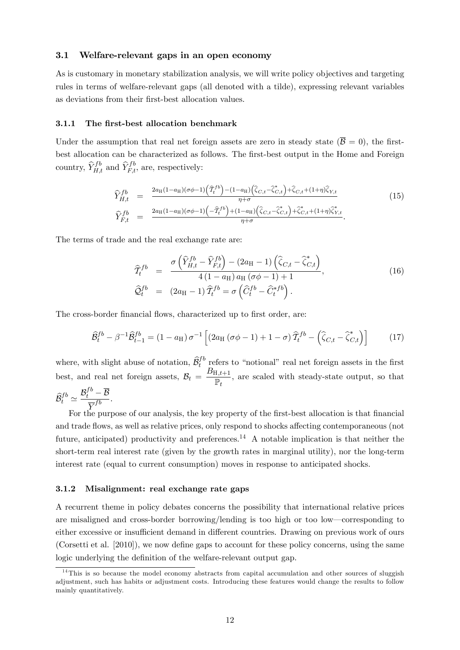### 3.1 Welfare-relevant gaps in an open economy

As is customary in monetary stabilization analysis, we will write policy objectives and targeting rules in terms of welfare-relevant gaps (all denoted with a tilde), expressing relevant variables as deviations from their first-best allocation values.

### 3.1.1 The first-best allocation benchmark

Under the assumption that real net foreign assets are zero in steady state  $(\overline{B} = 0)$ , the firstbest allocation can be characterized as follows. The first-best output in the Home and Foreign country,  $\widehat{Y}_{H,t}^{fb}$  and  $\widehat{Y}_{F,t}^{fb}$ , are, respectively:

$$
\begin{split}\n\widehat{Y}_{H,t}^{fb} &= \frac{2a_{\text{H}}(1-a_{\text{H}})(\sigma\phi-1)\left(\widehat{T}_{t}^{fb}\right)-(1-a_{\text{H}})\left(\widehat{\zeta}_{C,t}-\widehat{\zeta}_{C,t}^{*}\right)+\widehat{\zeta}_{C,t}+(1+\eta)\widehat{\zeta}_{Y,t}}{\eta+\sigma} \\
\widehat{Y}_{F,t}^{fb} &= \frac{2a_{\text{H}}(1-a_{\text{H}})(\sigma\phi-1)\left(-\widehat{T}_{t}^{fb}\right)+(1-a_{\text{H}})\left(\widehat{\zeta}_{C,t}-\widehat{\zeta}_{C,t}^{*}\right)+\widehat{\zeta}_{C,t}^{*}+(1+\eta)\widehat{\zeta}_{Y,t}^{*}}{\eta+\sigma}.\n\end{split} \tag{15}
$$

The terms of trade and the real exchange rate are:

$$
\widehat{T}_{t}^{fb} = \frac{\sigma\left(\widehat{Y}_{H,t}^{fb} - \widehat{Y}_{F,t}^{fb}\right) - (2a_{\rm H} - 1)\left(\widehat{\zeta}_{C,t} - \widehat{\zeta}_{C,t}^{*}\right)}{4\left(1 - a_{\rm H}\right)a_{\rm H}\left(\sigma\phi - 1\right) + 1},
$$
\n
$$
\widehat{Q}_{t}^{fb} = (2a_{\rm H} - 1)\widehat{T}_{t}^{fb} = \sigma\left(\widehat{C}_{t}^{fb} - \widehat{C}_{t}^{*fb}\right).
$$
\n(16)

The cross-border financial flows, characterized up to first order, are:

$$
\widehat{B}_t^{fb} - \beta^{-1} \widehat{B}_{t-1}^{fb} = (1 - a_H) \sigma^{-1} \left[ (2a_H (\sigma \phi - 1) + 1 - \sigma) \widehat{T}_t^{fb} - \left( \widehat{\zeta}_{C,t} - \widehat{\zeta}_{C,t}^* \right) \right] \tag{17}
$$

where, with slight abuse of notation,  $\widehat{\mathcal{B}}_t^{fb}$  refers to "notional" real net foreign assets in the first best, and real net foreign assets,  $B_t = \frac{B_{H,t+1}}{\mathbb{P}_t}$ *,* are scaled with steady-state output, so that

 $\widehat{\mathcal{B}}_{t}^{fb} \simeq \frac{\mathcal{B}_{t}^{fb} - \overline{\mathcal{B}}}{\overline{Y}^{fb}}.$ 

For the purpose of our analysis, the key property of the first-best allocation is that financial and trade flows, as well as relative prices, only respond to shocks affecting contemporaneous (not future, anticipated) productivity and preferences.<sup>14</sup> A notable implication is that neither the short-term real interest rate (given by the growth rates in marginal utility), nor the long-term interest rate (equal to current consumption) moves in response to anticipated shocks.

#### 3.1.2 Misalignment: real exchange rate gaps

A recurrent theme in policy debates concerns the possibility that international relative prices are misaligned and cross-border borrowing/lending is too high or too low–corresponding to either excessive or insufficient demand in different countries. Drawing on previous work of ours (Corsetti et al. [2010]), we now define gaps to account for these policy concerns, using the same logic underlying the definition of the welfare-relevant output gap.

 $14$ This is so because the model economy abstracts from capital accumulation and other sources of sluggish adjustment, such has habits or adjustment costs. Introducing these features would change the results to follow mainly quantitatively.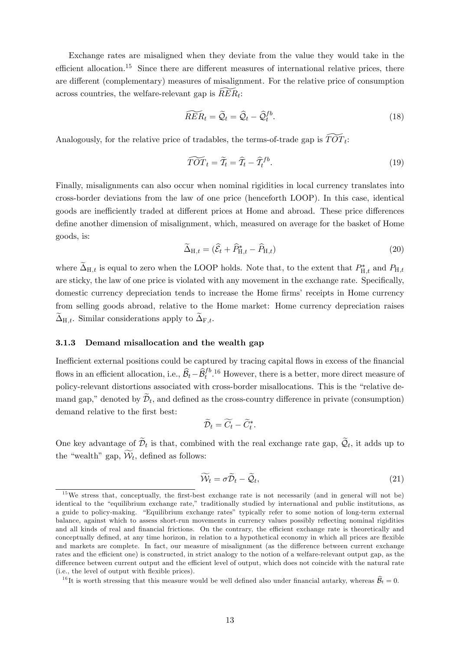Exchange rates are misaligned when they deviate from the value they would take in the efficient allocation.<sup>15</sup> Since there are different measures of international relative prices, there are different (complementary) measures of misalignment. For the relative price of consumption across countries, the welfare-relevant gap is  $RER_t$ :

$$
\widetilde{RER}_t = \widetilde{Q}_t = \widehat{Q}_t - \widehat{Q}_t^{fb}.\tag{18}
$$

Analogously, for the relative price of tradables, the terms-of-trade gap is  $\widetilde{TOT}_{t}$ :

$$
\widetilde{TOT}_t = \widetilde{T}_t = \widehat{T}_t - \widehat{T}_t^{fb}.\tag{19}
$$

Finally, misalignments can also occur when nominal rigidities in local currency translates into cross-border deviations from the law of one price (henceforth LOOP). In this case, identical goods are inefficiently traded at different prices at Home and abroad. These price differences define another dimension of misalignment, which, measured on average for the basket of Home goods, is:

$$
\widetilde{\Delta}_{H,t} = (\widehat{\mathcal{E}}_t + \widehat{P}_{H,t}^* - \widehat{P}_{H,t})
$$
\n(20)

where  $\Delta_{H,t}$  is equal to zero when the LOOP holds. Note that, to the extent that  $P_{H,t}^*$  and  $P_{H,t}$ are sticky, the law of one price is violated with any movement in the exchange rate. Specifically, domestic currency depreciation tends to increase the Home firms' receipts in Home currency from selling goods abroad, relative to the Home market: Home currency depreciation raises  $\widetilde{\Delta}_{H,t}$ . Similar considerations apply to  $\widetilde{\Delta}_{F,t}$ .

### 3.1.3 Demand misallocation and the wealth gap

Inefficient external positions could be captured by tracing capital flows in excess of the financial flows in an efficient allocation, i.e.,  $\widehat{B}_t - \widehat{B}_t^{fb}$ .<sup>16</sup> However, there is a better, more direct measure of policy-relevant distortions associated with cross-border misallocations. This is the "relative demand gap," denoted by  $\mathcal{D}_t$ , and defined as the cross-country difference in private (consumption) demand relative to the first best:

$$
\widetilde{\mathcal{D}}_t = \widetilde{C}_t - \widetilde{C}_t^*.
$$

One key advantage of  $\widetilde{\mathcal{D}}_t$  is that, combined with the real exchange rate gap,  $\widetilde{\mathcal{Q}}_t$ , it adds up to the "wealth" gap,  $W_t$ , defined as follows:

$$
\widetilde{\mathcal{W}}_t = \sigma \widetilde{\mathcal{D}}_t - \widetilde{\mathcal{Q}}_t,\tag{21}
$$

 $15$  We stress that, conceptually, the first-best exchange rate is not necessarily (and in general will not be) identical to the "equilibrium exchange rate," traditionally studied by international and public institutions, as a guide to policy-making. "Equilibrium exchange rates" typically refer to some notion of long-term external balance, against which to assess short-run movements in currency values possibly reflecting nominal rigidities and all kinds of real and financial frictions. On the contrary, the efficient exchange rate is theoretically and conceptually defined, at any time horizon, in relation to a hypothetical economy in which all prices are flexible and markets are complete. In fact, our measure of misalignment (as the difference between current exchange rates and the efficient one) is constructed, in strict analogy to the notion of a welfare-relevant output gap, as the difference between current output and the efficient level of output, which does not coincide with the natural rate (i.e., the level of output with flexible prices).

<sup>&</sup>lt;sup>16</sup>It is worth stressing that this measure would be well defined also under financial autarky, whereas  $\widehat{\mathcal{B}}_t = 0$ .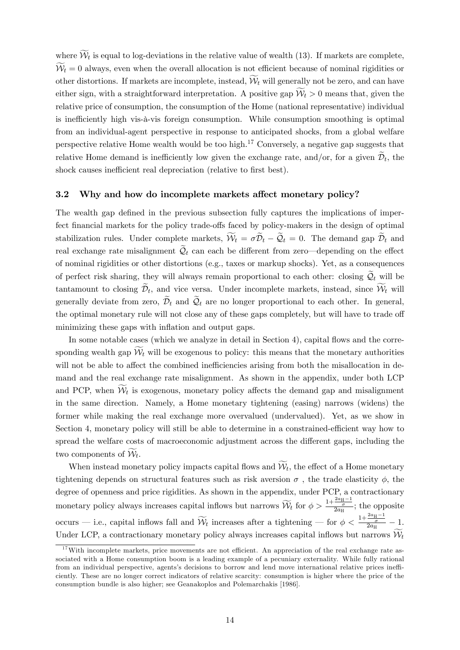where  $W_t$  is equal to log-deviations in the relative value of wealth (13). If markets are complete,  $W_t = 0$  always, even when the overall allocation is not efficient because of nominal rigidities or other distortions. If markets are incomplete, instead,  $W_t$  will generally not be zero, and can have either sign, with a straightforward interpretation. A positive gap  $W_t > 0$  means that, given the relative price of consumption, the consumption of the Home (national representative) individual is inefficiently high vis-à-vis foreign consumption. While consumption smoothing is optimal from an individual-agent perspective in response to anticipated shocks, from a global welfare perspective relative Home wealth would be too high. $17$  Conversely, a negative gap suggests that relative Home demand is inefficiently low given the exchange rate, and/or, for a given  $\widetilde{\mathcal{D}}_t$ , the shock causes inefficient real depreciation (relative to first best).

### 3.2 Why and how do incomplete markets affect monetary policy?

The wealth gap defined in the previous subsection fully captures the implications of imperfect financial markets for the policy trade-offs faced by policy-makers in the design of optimal stabilization rules. Under complete markets,  $W_t = \sigma D_t - Q_t = 0$ . The demand gap  $D_t$  and real exchange rate misalignment  $\widetilde{Q}_t$  can each be different from zero—depending on the effect of nominal rigidities or other distortions (e.g., taxes or markup shocks). Yet, as a consequences of perfect risk sharing, they will always remain proportional to each other: closing  $\widetilde{Q}_t$  will be tantamount to closing  $\mathcal{D}_t$ , and vice versa. Under incomplete markets, instead, since  $\mathcal{W}_t$  will generally deviate from zero,  $\widetilde{\mathcal{D}}_t$  and  $\widetilde{\mathcal{Q}}_t$  are no longer proportional to each other. In general, the optimal monetary rule will not close any of these gaps completely, but will have to trade off minimizing these gaps with inflation and output gaps.

In some notable cases (which we analyze in detail in Section 4), capital flows and the corresponding wealth gap  $\mathcal{W}_t$  will be exogenous to policy: this means that the monetary authorities will not be able to affect the combined inefficiencies arising from both the misallocation in demand and the real exchange rate misalignment. As shown in the appendix, under both LCP and PCP, when  $\mathcal{W}_t$  is exogenous, monetary policy affects the demand gap and misalignment in the same direction. Namely, a Home monetary tightening (easing) narrows (widens) the former while making the real exchange more overvalued (undervalued). Yet, as we show in Section 4, monetary policy will still be able to determine in a constrained-efficient way how to spread the welfare costs of macroeconomic adjustment across the different gaps, including the two components of  $W_t$ .

When instead monetary policy impacts capital flows and  $W_t$ , the effect of a Home monetary tightening depends on structural features such as risk aversion  $\sigma$ , the trade elasticity  $\phi$ , the degree of openness and price rigidities. As shown in the appendix, under PCP, a contractionary monetary policy always increases capital inflows but narrows  $\widetilde{W}_t$  for  $\phi > \frac{1+\frac{2a_{\text{H}}-1}{\sigma}}{2a_{\text{H}}}}$ ; the opposite occurs – i.e., capital inflows fall and  $\widetilde{\mathcal{W}}_t$  increases after a tightening – for  $\phi < \frac{1+\frac{2a_{\text{H}}-1}{\sigma}}{2a_{\text{H}}} - 1$ . Under LCP, a contractionary monetary policy always increases capital inflows but narrows  $\mathcal{W}_t$ 

 $17$ With incomplete markets, price movements are not efficient. An appreciation of the real exchange rate associated with a Home consumption boom is a leading example of a pecuniary externality. While fully rational from an individual perspective, agents's decisions to borrow and lend move international relative prices inefficiently. These are no longer correct indicators of relative scarcity: consumption is higher where the price of the consumption bundle is also higher; see Geanakoplos and Polemarchakis [1986].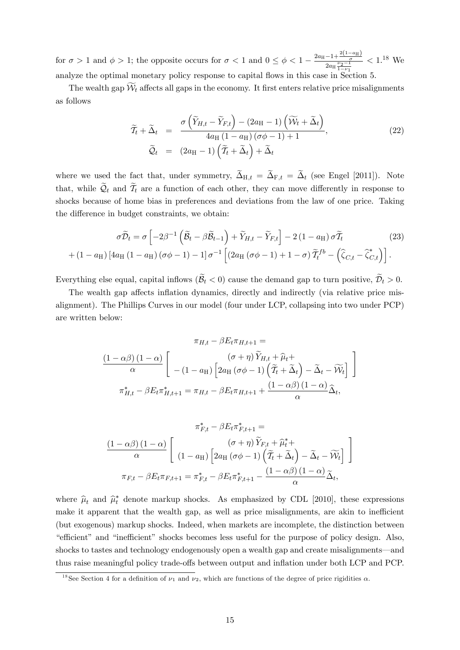for  $\sigma > 1$  and  $\phi > 1$ ; the opposite occurs for  $\sigma < 1$  and  $0 \leq \phi < 1 - \frac{2a_H - 1 + \frac{2(1-a_H)}{\sigma}}{2a_H \frac{\nu_2 - 1}{1 - \nu_1}}$  $< 1.^{18}$  We analyze the optimal monetary policy response to capital flows in this case in Section 5.

The wealth gap  $W_t$  affects all gaps in the economy. It first enters relative price misalignments as follows

$$
\widetilde{T}_t + \widetilde{\Delta}_t = \frac{\sigma\left(\widetilde{Y}_{H,t} - \widetilde{Y}_{F,t}\right) - (2a_H - 1)\left(\widetilde{\mathcal{W}}_t + \widetilde{\Delta}_t\right)}{4a_H(1 - a_H)(\sigma\phi - 1) + 1},
$$
\n
$$
\widetilde{Q}_t = (2a_H - 1)\left(\widetilde{T}_t + \widetilde{\Delta}_t\right) + \widetilde{\Delta}_t
$$
\n(22)

where we used the fact that, under symmetry,  $\tilde{\Delta}_{H,t} = \tilde{\Delta}_{F,t} = \tilde{\Delta}_t$  (see Engel [2011]). Note that, while  $\mathcal{Q}_t$  and  $\mathcal{T}_t$  are a function of each other, they can move differently in response to shocks because of home bias in preferences and deviations from the law of one price. Taking the difference in budget constraints, we obtain:

$$
\sigma \widetilde{\mathcal{D}}_t = \sigma \left[ -2\beta^{-1} \left( \widetilde{\mathcal{B}}_t - \beta \widetilde{\mathcal{B}}_{t-1} \right) + \widetilde{Y}_{H,t} - \widetilde{Y}_{F,t} \right] - 2 \left( 1 - a_H \right) \sigma \widetilde{\mathcal{I}}_t \tag{23}
$$

$$
+ \left( 1 - a_H \right) \left[ 4a_H \left( 1 - a_H \right) \left( \sigma \phi - 1 \right) - 1 \right] \sigma^{-1} \left[ \left( 2a_H \left( \sigma \phi - 1 \right) + 1 - \sigma \right) \widetilde{\mathcal{I}}_t^{fb} - \left( \widehat{\zeta}_{C,t} - \widehat{\zeta}_{C,t}^* \right) \right].
$$

Everything else equal, capital inflows  $(\widetilde{B}_t < 0)$  cause the demand gap to turn positive,  $\widetilde{D}_t > 0$ .

The wealth gap affects inflation dynamics, directly and indirectly (via relative price misalignment). The Phillips Curves in our model (four under LCP, collapsing into two under PCP) are written below:

$$
\pi_{H,t} - \beta E_t \pi_{H,t+1} =
$$
\n
$$
\frac{(1 - \alpha \beta)(1 - \alpha)}{\alpha} \left[ -(1 - a_H) \left[ 2a_H (\sigma \phi - 1) \left( \tilde{T}_t + \tilde{\Delta}_t \right) - \tilde{\Delta}_t - \tilde{\mathcal{W}}_t \right] \right]
$$
\n
$$
\pi_{H,t}^* - \beta E_t \pi_{H,t+1}^* = \pi_{H,t} - \beta E_t \pi_{H,t+1} + \frac{(1 - \alpha \beta)(1 - \alpha)}{\alpha} \tilde{\Delta}_t,
$$

$$
\pi_{F,t}^{*} - \beta E_{t} \pi_{F,t+1}^{*} =
$$
\n
$$
\frac{(1 - \alpha \beta)(1 - \alpha)}{\alpha} \left[ \begin{array}{c} (\sigma + \eta) \widetilde{Y}_{F,t} + \widehat{\mu}_{t}^{*} + \\ (1 - a_{H}) \left[ 2a_{H} (\sigma \phi - 1) \left( \widetilde{T}_{t} + \widetilde{\Delta}_{t} \right) - \widetilde{\Delta}_{t} - \widetilde{\mathcal{W}}_{t} \right] \end{array} \right]
$$
\n
$$
\pi_{F,t} - \beta E_{t} \pi_{F,t+1} = \pi_{F,t}^{*} - \beta E_{t} \pi_{F,t+1}^{*} - \frac{(1 - \alpha \beta)(1 - \alpha)}{\alpha} \widetilde{\Delta}_{t},
$$

where  $\hat{\mu}_t$  and  $\hat{\mu}_t^*$  denote markup shocks. As emphasized by CDL [2010], these expressions make it apparent that the wealth gap, as well as price misalignments, are akin to inefficient (but exogenous) markup shocks. Indeed, when markets are incomplete, the distinction between "efficient" and "inefficient" shocks becomes less useful for the purpose of policy design. Also, shocks to tastes and technology endogenously open a wealth gap and create misalignments–and thus raise meaningful policy trade-offs between output and inflation under both LCP and PCP.

<sup>&</sup>lt;sup>18</sup>See Section 4 for a definition of  $\nu_1$  and  $\nu_2$ , which are functions of the degree of price rigidities  $\alpha$ .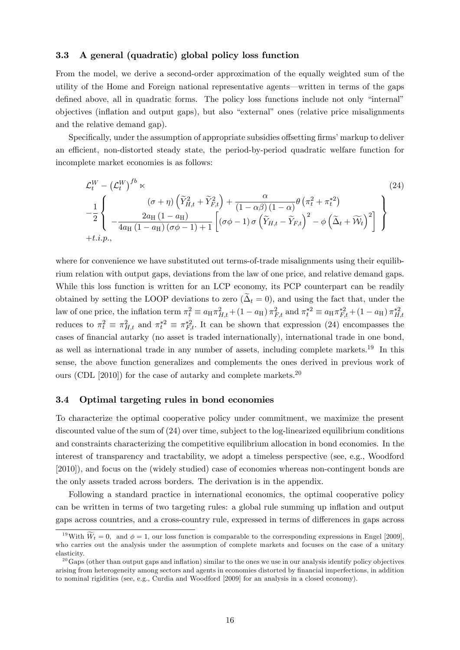### 3.3 A general (quadratic) global policy loss function

From the model, we derive a second-order approximation of the equally weighted sum of the utility of the Home and Foreign national representative agents–written in terms of the gaps defined above, all in quadratic forms. The policy loss functions include not only "internal" objectives (inflation and output gaps), but also "external" ones (relative price misalignments and the relative demand gap).

Specifically, under the assumption of appropriate subsidies offsetting firms' markup to deliver an efficient, non-distorted steady state, the period-by-period quadratic welfare function for incomplete market economies is as follows:

$$
\mathcal{L}_{t}^{W} - \left(\mathcal{L}_{t}^{W}\right)^{fb} \times\n-\frac{1}{2}\n\left\{\n\begin{array}{l}\n(\sigma + \eta) \left(\widetilde{Y}_{H,t}^{2} + \widetilde{Y}_{F,t}^{2}\right) + \frac{\alpha}{(1 - \alpha\beta)(1 - \alpha)} \theta \left(\pi_{t}^{2} + \pi_{t}^{*2}\right) \\
-\frac{2a_{\text{H}} \left(1 - a_{\text{H}}\right)}{4a_{\text{H}} \left(1 - a_{\text{H}}\right) \left(\sigma \phi - 1\right) + 1}\n\left[\left(\sigma \phi - 1\right) \sigma \left(\widetilde{Y}_{H,t} - \widetilde{Y}_{F,t}\right)^{2} - \phi \left(\widetilde{\Delta}_{t} + \widetilde{\mathcal{W}}_{t}\right)^{2}\n\right]\n\end{array}\n\right\}
$$
\n
$$
+ t.i.p.,
$$
\n(24)

where for convenience we have substituted out terms-of-trade misalignments using their equilibrium relation with output gaps, deviations from the law of one price, and relative demand gaps. While this loss function is written for an LCP economy, its PCP counterpart can be readily obtained by setting the LOOP deviations to zero ( $\tilde{\Delta}_t = 0$ ), and using the fact that, under the law of one price, the inflation term  $\pi_t^2 \equiv a_H \pi_{H,t}^2 + (1 - a_H) \pi_{F,t}^2$  and  $\pi_t^{*2} \equiv a_H \pi_{F,t}^{*2} + (1 - a_H) \pi_{H,t}^{*2}$ reduces to  $\pi_t^2 \equiv \pi_{H,t}^2$  and  $\pi_t^{*2} \equiv \pi_{F,t}^{*2}$ . It can be shown that expression (24) encompasses the cases of financial autarky (no asset is traded internationally), international trade in one bond, as well as international trade in any number of assets, including complete markets.19 In this sense, the above function generalizes and complements the ones derived in previous work of ours (CDL [2010]) for the case of autarky and complete markets.<sup>20</sup>

#### 3.4 Optimal targeting rules in bond economies

To characterize the optimal cooperative policy under commitment, we maximize the present discounted value of the sum of (24) over time, subject to the log-linearized equilibrium conditions and constraints characterizing the competitive equilibrium allocation in bond economies. In the interest of transparency and tractability, we adopt a timeless perspective (see, e.g., Woodford [2010]), and focus on the (widely studied) case of economies whereas non-contingent bonds are the only assets traded across borders. The derivation is in the appendix.

Following a standard practice in international economics, the optimal cooperative policy can be written in terms of two targeting rules: a global rule summing up inflation and output gaps across countries, and a cross-country rule, expressed in terms of differences in gaps across

<sup>&</sup>lt;sup>19</sup>With  $\widetilde{W}_t = 0$ , and  $\phi = 1$ , our loss function is comparable to the corresponding expressions in Engel [2009], who carries out the analysis under the assumption of complete markets and focuses on the case of a unitary elasticity.

 $^{20}$  Gaps (other than output gaps and inflation) similar to the ones we use in our analysis identify policy objectives arising from heterogeneity among sectors and agents in economies distorted by financial imperfections, in addition to nominal rigidities (see, e.g., Curdia and Woodford [2009] for an analysis in a closed economy).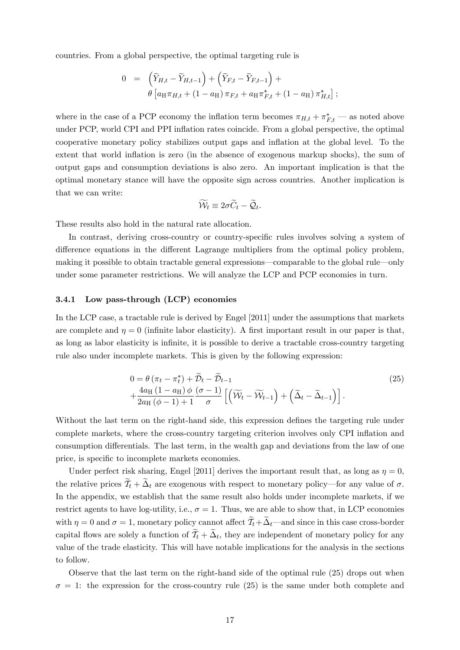countries. From a global perspective, the optimal targeting rule is

$$
0 = \left(\widetilde{Y}_{H,t} - \widetilde{Y}_{H,t-1}\right) + \left(\widetilde{Y}_{F,t} - \widetilde{Y}_{F,t-1}\right) + \n\theta \left[a_H \pi_{H,t} + (1 - a_H) \pi_{F,t} + a_H \pi_{F,t}^* + (1 - a_H) \pi_{H,t}^*\right];
$$

where in the case of a PCP economy the inflation term becomes  $\pi_{H,t} + \pi^*_{F,t}$  — as noted above under PCP, world CPI and PPI inflation rates coincide. From a global perspective, the optimal cooperative monetary policy stabilizes output gaps and inflation at the global level. To the extent that world inflation is zero (in the absence of exogenous markup shocks), the sum of output gaps and consumption deviations is also zero. An important implication is that the optimal monetary stance will have the opposite sign across countries. Another implication is that we can write:

$$
\widetilde{\mathcal{W}}_t \equiv 2\sigma \widetilde{C}_t - \widetilde{\mathcal{Q}}_t.
$$

These results also hold in the natural rate allocation.

In contrast, deriving cross-country or country-specific rules involves solving a system of difference equations in the different Lagrange multipliers from the optimal policy problem, making it possible to obtain tractable general expressions–comparable to the global rule–only under some parameter restrictions. We will analyze the LCP and PCP economies in turn.

### 3.4.1 Low pass-through (LCP) economies

In the LCP case, a tractable rule is derived by Engel [2011] under the assumptions that markets are complete and  $\eta = 0$  (infinite labor elasticity). A first important result in our paper is that, as long as labor elasticity is infinite, it is possible to derive a tractable cross-country targeting rule also under incomplete markets. This is given by the following expression:

$$
0 = \theta \left( \pi_t - \pi_t^* \right) + \widetilde{\mathcal{D}}_t - \widetilde{\mathcal{D}}_{t-1} + \frac{4a_H \left( 1 - a_H \right) \phi \left( \sigma - 1 \right)}{2a_H \left( \phi - 1 \right) + 1} \left[ \widetilde{\mathcal{W}}_t - \widetilde{\mathcal{W}}_{t-1} \right] + \left( \widetilde{\Delta}_t - \widetilde{\Delta}_{t-1} \right) \right]. \tag{25}
$$

Without the last term on the right-hand side, this expression defines the targeting rule under complete markets, where the cross-country targeting criterion involves only CPI inflation and consumption differentials. The last term, in the wealth gap and deviations from the law of one price, is specific to incomplete markets economies.

Under perfect risk sharing, Engel [2011] derives the important result that, as long as  $\eta = 0$ , the relative prices  $\mathcal{T}_t + \Delta_t$  are exogenous with respect to monetary policy—for any value of  $\sigma$ . In the appendix, we establish that the same result also holds under incomplete markets, if we restrict agents to have log-utility, i.e.,  $\sigma = 1$ . Thus, we are able to show that, in LCP economies with  $\eta = 0$  and  $\sigma = 1$ , monetary policy cannot affect  $\mathcal{T}_t + \Delta_t$ —and since in this case cross-border capital flows are solely a function of  $\mathcal{T}_t + \Delta_t$ , they are independent of monetary policy for any value of the trade elasticity. This will have notable implications for the analysis in the sections to follow.

Observe that the last term on the right-hand side of the optimal rule (25) drops out when  $\sigma = 1$ : the expression for the cross-country rule (25) is the same under both complete and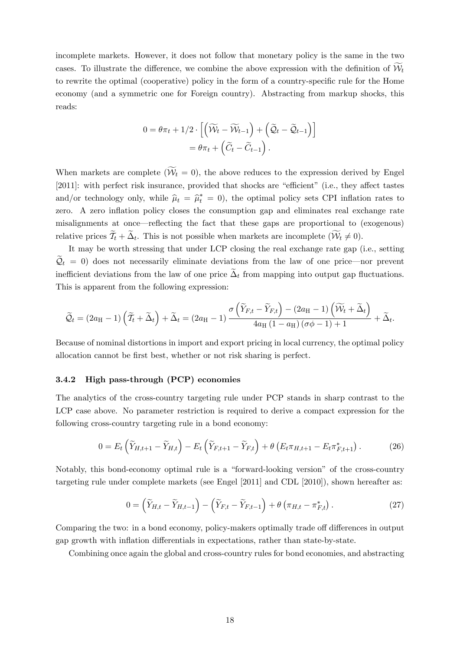incomplete markets. However, it does not follow that monetary policy is the same in the two cases. To illustrate the difference, we combine the above expression with the definition of  $\mathcal{W}_t$ to rewrite the optimal (cooperative) policy in the form of a country-specific rule for the Home economy (and a symmetric one for Foreign country). Abstracting from markup shocks, this reads:

$$
0 = \theta \pi_t + 1/2 \cdot \left[ \left( \widetilde{\mathcal{W}}_t - \widetilde{\mathcal{W}}_{t-1} \right) + \left( \widetilde{\mathcal{Q}}_t - \widetilde{\mathcal{Q}}_{t-1} \right) \right]
$$
  
=  $\theta \pi_t + \left( \widetilde{C}_t - \widetilde{C}_{t-1} \right).$ 

When markets are complete  $(\mathcal{W}_t = 0)$ , the above reduces to the expression derived by Engel [2011]: with perfect risk insurance, provided that shocks are "efficient" (i.e., they affect tastes and/or technology only, while  $\hat{\mu}_t = \hat{\mu}_t^* = 0$ , the optimal policy sets CPI inflation rates to zero. A zero inflation policy closes the consumption gap and eliminates real exchange rate misalignments at once–reflecting the fact that these gaps are proportional to (exogenous) relative prices  $\mathcal{T}_t + \Delta_t$ . This is not possible when markets are incomplete  $(\mathcal{W}_t \neq 0)$ .

It may be worth stressing that under LCP closing the real exchange rate gap (i.e., setting  $\widetilde{Q}_t = 0$  does not necessarily eliminate deviations from the law of one price—nor prevent inefficient deviations from the law of one price  $\tilde{\Delta}_t$  from mapping into output gap fluctuations. This is apparent from the following expression:

$$
\widetilde{\mathcal{Q}}_t = (2a_{\mathrm{H}}-1)\left(\widetilde{T}_t + \widetilde{\Delta}_t\right) + \widetilde{\Delta}_t = (2a_{\mathrm{H}}-1)\frac{\sigma\left(\widetilde{Y}_{F,t} - \widetilde{Y}_{F,t}\right) - (2a_{\mathrm{H}}-1)\left(\widetilde{\mathcal{W}}_t + \widetilde{\Delta}_t\right)}{4a_{\mathrm{H}}\left(1 - a_{\mathrm{H}}\right)(\sigma\phi - 1) + 1} + \widetilde{\Delta}_t.
$$

Because of nominal distortions in import and export pricing in local currency, the optimal policy allocation cannot be first best, whether or not risk sharing is perfect.

#### 3.4.2 High pass-through (PCP) economies

The analytics of the cross-country targeting rule under PCP stands in sharp contrast to the LCP case above. No parameter restriction is required to derive a compact expression for the following cross-country targeting rule in a bond economy:

$$
0 = E_t \left( \widetilde{Y}_{H,t+1} - \widetilde{Y}_{H,t} \right) - E_t \left( \widetilde{Y}_{F,t+1} - \widetilde{Y}_{F,t} \right) + \theta \left( E_t \pi_{H,t+1} - E_t \pi_{F,t+1}^* \right). \tag{26}
$$

Notably, this bond-economy optimal rule is a "forward-looking version" of the cross-country targeting rule under complete markets (see Engel [2011] and CDL [2010]), shown hereafter as:

$$
0 = \left(\widetilde{Y}_{H,t} - \widetilde{Y}_{H,t-1}\right) - \left(\widetilde{Y}_{F,t} - \widetilde{Y}_{F,t-1}\right) + \theta\left(\pi_{H,t} - \pi_{F,t}^*\right). \tag{27}
$$

Comparing the two: in a bond economy, policy-makers optimally trade off differences in output gap growth with inflation differentials in expectations, rather than state-by-state.

Combining once again the global and cross-country rules for bond economies, and abstracting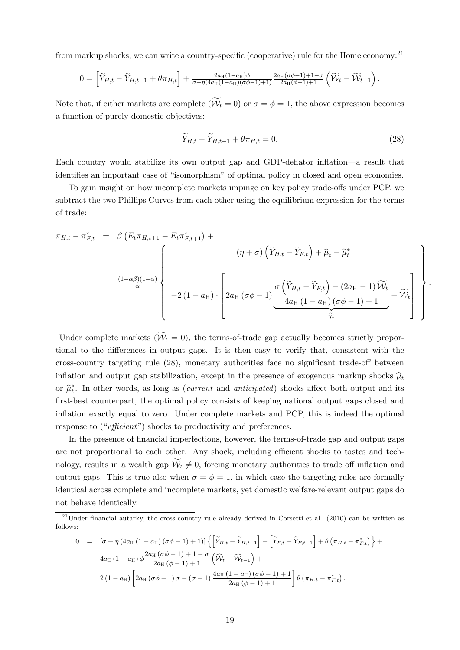from markup shocks, we can write a country-specific (cooperative) rule for the Home economy:21

$$
0 = \left[\widetilde{Y}_{H,t} - \widetilde{Y}_{H,t-1} + \theta \pi_{H,t}\right] + \frac{2a_H(1-a_H)\phi}{\sigma + \eta(4a_H(1-a_H)(\sigma\phi - 1) + 1)} \frac{2a_H(\sigma\phi - 1) + 1 - \sigma}{2a_H(\phi - 1) + 1} \left(\widetilde{\mathcal{W}}_t - \widetilde{\mathcal{W}}_{t-1}\right).
$$

Note that, if either markets are complete  $(\mathcal{W}_t = 0)$  or  $\sigma = \phi = 1$ , the above expression becomes a function of purely domestic objectives:

$$
\tilde{Y}_{H,t} - \tilde{Y}_{H,t-1} + \theta \pi_{H,t} = 0.
$$
\n(28)

Each country would stabilize its own output gap and GDP-deflator inflation–a result that identifies an important case of "isomorphism" of optimal policy in closed and open economies.

To gain insight on how incomplete markets impinge on key policy trade-offs under PCP, we subtract the two Phillips Curves from each other using the equilibrium expression for the terms of trade:

$$
\pi_{H,t} - \pi_{F,t}^{*} = \beta \left( E_t \pi_{H,t+1} - E_t \pi_{F,t+1}^{*} \right) +
$$
\n
$$
\frac{(1-\alpha\beta)(1-\alpha)}{\alpha} \left\{ \begin{array}{c} (\eta + \sigma) \left( \widetilde{Y}_{H,t} - \widetilde{Y}_{F,t} \right) + \widehat{\mu}_t - \widehat{\mu}_t^{*} \\ -2 \left( 1 - a_H \right) \cdot \left[ 2a_H \left( \sigma \phi - 1 \right) \frac{\sigma \left( \widetilde{Y}_{H,t} - \widetilde{Y}_{F,t} \right) - (2a_H - 1) \widetilde{W}_t}{4a_H \left( 1 - a_H \right) \left( \sigma \phi - 1 \right) + 1} - \widetilde{W}_t \right] \end{array} \right\}.
$$

Under complete markets  $(W_t = 0)$ , the terms-of-trade gap actually becomes strictly proportional to the differences in output gaps. It is then easy to verify that, consistent with the cross-country targeting rule  $(28)$ , monetary authorities face no significant trade-off between inflation and output gap stabilization, except in the presence of exogenous markup shocks  $\hat{\mu}_t$ or  $\hat{\mu}_t^*$ . In other words, as long as (*current* and *anticipated*) shocks affect both output and its first-best counterpart, the optimal policy consists of keeping national output gaps closed and inflation exactly equal to zero. Under complete markets and PCP, this is indeed the optimal response to ("*efficient"*) shocks to productivity and preferences.

In the presence of financial imperfections, however, the terms-of-trade gap and output gaps are not proportional to each other. Any shock, including efficient shocks to tastes and technology, results in a wealth gap  $W_t \neq 0$ , forcing monetary authorities to trade off inflation and output gaps. This is true also when  $\sigma = \phi = 1$ , in which case the targeting rules are formally identical across complete and incomplete markets, yet domestic welfare-relevant output gaps do not behave identically.

$$
0 = [\sigma + \eta (4a_{H} (1 - a_{H}) (\sigma \phi - 1) + 1)] \left\{ \left[ \widetilde{Y}_{H,t} - \widetilde{Y}_{H,t-1} \right] - \left[ \widetilde{Y}_{F,t} - \widetilde{Y}_{F,t-1} \right] + \theta (\pi_{H,t} - \pi_{F,t}^{*}) \right\} + 4a_{H} (1 - a_{H}) \phi \frac{2a_{H} (\sigma \phi - 1) + 1 - \sigma}{2a_{H} (\phi - 1) + 1} \left( \widehat{W}_{t} - \widehat{W}_{t-1} \right) + 2(1 - a_{H}) \left[ 2a_{H} (\sigma \phi - 1) \sigma - (\sigma - 1) \frac{4a_{H} (1 - a_{H}) (\sigma \phi - 1) + 1}{2a_{H} (\phi - 1) + 1} \right] \theta (\pi_{H,t} - \pi_{F,t}^{*}).
$$

 $^{21}$ Under financial autarky, the cross-country rule already derived in Corsetti et al. (2010) can be written as follows: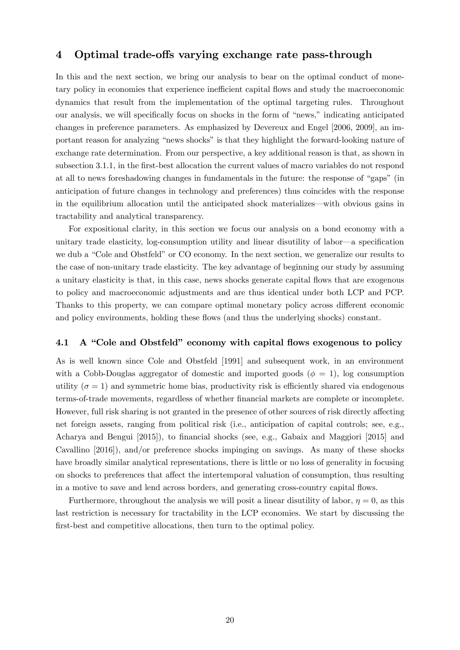### 4 Optimal trade-offs varying exchange rate pass-through

In this and the next section, we bring our analysis to bear on the optimal conduct of monetary policy in economies that experience inefficient capital flows and study the macroeconomic dynamics that result from the implementation of the optimal targeting rules. Throughout our analysis, we will specifically focus on shocks in the form of "news," indicating anticipated changes in preference parameters. As emphasized by Devereux and Engel [2006, 2009], an important reason for analyzing "news shocks" is that they highlight the forward-looking nature of exchange rate determination. From our perspective, a key additional reason is that, as shown in subsection 3.1.1, in the first-best allocation the current values of macro variables do not respond at all to news foreshadowing changes in fundamentals in the future: the response of "gaps" (in anticipation of future changes in technology and preferences) thus coincides with the response in the equilibrium allocation until the anticipated shock materializes–with obvious gains in tractability and analytical transparency.

For expositional clarity, in this section we focus our analysis on a bond economy with a unitary trade elasticity, log-consumption utility and linear disutility of labor–a specification we dub a "Cole and Obstfeld" or CO economy. In the next section, we generalize our results to the case of non-unitary trade elasticity. The key advantage of beginning our study by assuming a unitary elasticity is that, in this case, news shocks generate capital flows that are exogenous to policy and macroeconomic adjustments and are thus identical under both LCP and PCP. Thanks to this property, we can compare optimal monetary policy across different economic and policy environments, holding these flows (and thus the underlying shocks) constant.

### 4.1 A "Cole and Obstfeld" economy with capital flows exogenous to policy

As is well known since Cole and Obstfeld [1991] and subsequent work, in an environment with a Cobb-Douglas aggregator of domestic and imported goods  $(\phi = 1)$ , log consumption utility ( $\sigma = 1$ ) and symmetric home bias, productivity risk is efficiently shared via endogenous terms-of-trade movements, regardless of whether financial markets are complete or incomplete. However, full risk sharing is not granted in the presence of other sources of risk directly affecting net foreign assets, ranging from political risk (i.e., anticipation of capital controls; see, e.g., Acharya and Bengui [2015]), to financial shocks (see, e.g., Gabaix and Maggiori [2015] and Cavallino [2016]), and/or preference shocks impinging on savings. As many of these shocks have broadly similar analytical representations, there is little or no loss of generality in focusing on shocks to preferences that affect the intertemporal valuation of consumption, thus resulting in a motive to save and lend across borders, and generating cross-country capital flows.

Furthermore, throughout the analysis we will posit a linear disutility of labor,  $\eta = 0$ , as this last restriction is necessary for tractability in the LCP economies. We start by discussing the first-best and competitive allocations, then turn to the optimal policy.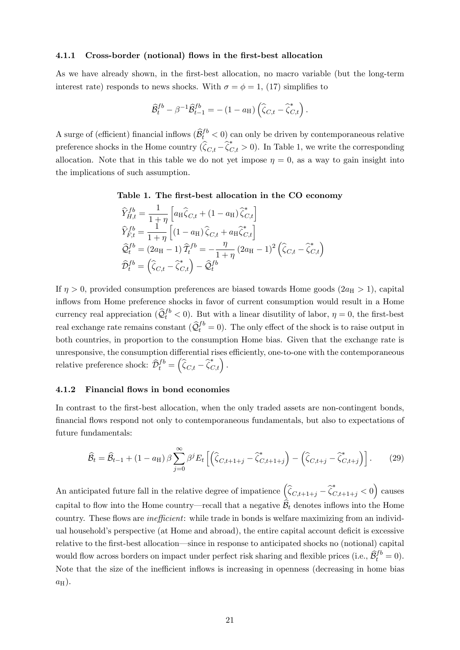#### 4.1.1 Cross-border (notional) flows in the first-best allocation

As we have already shown, in the first-best allocation, no macro variable (but the long-term interest rate) responds to news shocks. With  $\sigma = \phi = 1$ , (17) simplifies to

$$
\widehat{\mathcal{B}}_t^{fb} - \beta^{-1}\widehat{\mathcal{B}}_{t-1}^{fb} = -\left(1-a_{\rm H}\right)\left(\widehat{\zeta}_{C,t} - \widehat{\zeta}_{C,t}^*\right).
$$

A surge of (efficient) financial inflows  $(\widehat{\mathcal{B}}_t^{fb} < 0)$  can only be driven by contemporaneous relative preference shocks in the Home country  $(\hat{\zeta}_{C,t} - \hat{\zeta}_{C,t}^* > 0)$ . In Table 1, we write the corresponding allocation. Note that in this table we do not yet impose  $\eta = 0$ , as a way to gain insight into the implications of such assumption.

### Table 1. The first-best allocation in the CO economy

$$
\begin{aligned}\n\widehat{Y}_{H,t}^{fb} &= \frac{1}{1+\eta} \left[ a_{\mathrm{H}} \widehat{\zeta}_{C,t} + (1 - a_{\mathrm{H}}) \widehat{\zeta}_{C,t}^* \right] \\
\widehat{Y}_{F,t}^{fb} &= \frac{1}{1+\eta} \left[ (1 - a_{\mathrm{H}}) \widehat{\zeta}_{C,t} + a_{\mathrm{H}} \widehat{\zeta}_{C,t}^* \right] \\
\widehat{Q}_t^{fb} &= (2a_{\mathrm{H}} - 1) \widehat{T}_t^{fb} = -\frac{\eta}{1+\eta} (2a_{\mathrm{H}} - 1)^2 \left( \widehat{\zeta}_{C,t} - \widehat{\zeta}_{C,t}^* \right) \\
\widehat{\mathcal{D}}_t^{fb} &= \left( \widehat{\zeta}_{C,t} - \widehat{\zeta}_{C,t}^* \right) - \widehat{\mathcal{Q}}_t^{fb}\n\end{aligned}
$$

If  $\eta > 0$ , provided consumption preferences are biased towards Home goods (2*a*H  $> 1$ ), capital inflows from Home preference shocks in favor of current consumption would result in a Home currency real appreciation  $(\hat{Q}_t^{fb} < 0)$ . But with a linear disutility of labor,  $\eta = 0$ , the first-best real exchange rate remains constant  $(\hat{Q}_t^{fb} = 0)$ . The only effect of the shock is to raise output in both countries, in proportion to the consumption Home bias. Given that the exchange rate is unresponsive, the consumption differential rises efficiently, one-to-one with the contemporaneous relative preference shock:  $\widehat{\mathcal{D}}_t^{fb} = \left(\widehat{\zeta}_{C,t} - \widehat{\zeta}_{C,t}^*\right)$ .

#### 4.1.2 Financial flows in bond economies

In contrast to the first-best allocation, when the only traded assets are non-contingent bonds, financial flows respond not only to contemporaneous fundamentals, but also to expectations of future fundamentals:

$$
\widehat{\mathcal{B}}_t = \widehat{\mathcal{B}}_{t-1} + (1 - a_{\mathrm{H}}) \beta \sum_{j=0}^{\infty} \beta^j E_t \left[ \left( \widehat{\zeta}_{C,t+1+j} - \widehat{\zeta}_{C,t+1+j}^* \right) - \left( \widehat{\zeta}_{C,t+j} - \widehat{\zeta}_{C,t+j}^* \right) \right]. \tag{29}
$$

An anticipated future fall in the relative degree of impatience  $(\hat{\zeta}_{C,t+1+j} - \hat{\zeta}_{C,t+1+j}^* < 0)$  causes capital to flow into the Home country—recall that a negative  $\widehat{\mathcal{B}}_t$  denotes inflows into the Home country. These flows are *ine*¢*cient*: while trade in bonds is welfare maximizing from an individual household's perspective (at Home and abroad), the entire capital account deficit is excessive relative to the first-best allocation–since in response to anticipated shocks no (notional) capital would flow across borders on impact under perfect risk sharing and flexible prices (i.e.,  $\hat{B}_t^{fb} = 0$ ). Note that the size of the inefficient inflows is increasing in openness (decreasing in home bias  $a_{\rm H}$ ).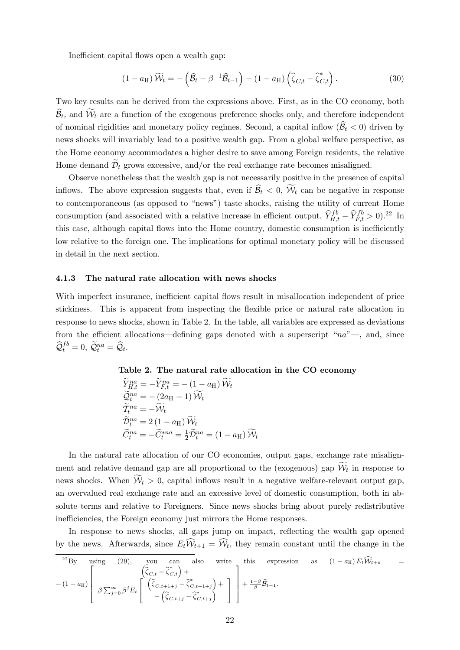Inefficient capital flows open a wealth gap:

$$
(1 - a_{\mathrm{H}}) \widetilde{\mathcal{W}}_t = -\left(\widehat{\mathcal{B}}_t - \beta^{-1} \widehat{\mathcal{B}}_{t-1}\right) - (1 - a_{\mathrm{H}}) \left(\widehat{\zeta}_{C,t} - \widehat{\zeta}_{C,t}^*\right). \tag{30}
$$

Two key results can be derived from the expressions above. First, as in the CO economy, both  $B_t$ , and  $W_t$  are a function of the exogenous preference shocks only, and therefore independent of nominal rigidities and monetary policy regimes. Second, a capital inflow  $(\widehat{\mathcal{B}}_t < 0)$  driven by news shocks will invariably lead to a positive wealth gap. From a global welfare perspective, as the Home economy accommodates a higher desire to save among Foreign residents, the relative Home demand  $\widetilde{\mathcal{D}}_t$  grows excessive, and/or the real exchange rate becomes misaligned.

Observe nonetheless that the wealth gap is not necessarily positive in the presence of capital inflows. The above expression suggests that, even if  $B_t < 0$ ,  $W_t$  can be negative in response to contemporaneous (as opposed to "news") taste shocks, raising the utility of current Home consumption (and associated with a relative increase in efficient output,  $\hat{Y}_{H,t}^{fb} - \hat{Y}_{F,t}^{fb} > 0$ ).<sup>22</sup> In this case, although capital flows into the Home country, domestic consumption is inefficiently low relative to the foreign one. The implications for optimal monetary policy will be discussed in detail in the next section.

#### 4.1.3 The natural rate allocation with news shocks

With imperfect insurance, inefficient capital flows result in misallocation independent of price stickiness. This is apparent from inspecting the flexible price or natural rate allocation in response to news shocks, shown in Table 2. In the table, all variables are expressed as deviations from the efficient allocations—defining gaps denoted with a superscript "*na*"—, and, since  $\widehat{\mathcal{Q}}_t^{fb}=0, \ \widetilde{\mathcal{Q}}_t^{na}=\widehat{\mathcal{Q}}_t.$ 

#### Table 2. The natural rate allocation in the CO economy

$$
\widetilde{Y}_{H,t}^{na} = -\widetilde{Y}_{F,t}^{na} = -(1 - a_H) \widetilde{W}_t
$$
\n
$$
\widetilde{Q}_t^{na} = -(2a_H - 1) \widetilde{W}_t
$$
\n
$$
\widetilde{T}_t^{na} = -\widetilde{W}_t
$$
\n
$$
\widetilde{D}_t^{na} = 2(1 - a_H) \widetilde{W}_t
$$
\n
$$
\widetilde{C}_t^{na} = -\widetilde{C}_t^{*na} = \frac{1}{2} \widetilde{D}_t^{na} = (1 - a_H) \widetilde{W}_t
$$

In the natural rate allocation of our CO economies, output gaps, exchange rate misalignment and relative demand gap are all proportional to the (exogenous) gap  $\mathcal{W}_t$  in response to news shocks. When  $W_t > 0$ , capital inflows result in a negative welfare-relevant output gap, an overvalued real exchange rate and an excessive level of domestic consumption, both in absolute terms and relative to Foreigners. Since news shocks bring about purely redistributive inefficiencies, the Foreign economy just mirrors the Home responses.

In response to news shocks, all gaps jump on impact, reflecting the wealth gap opened by the news. Afterwards, since  $E_t \mathcal{W}_{t+1} = \mathcal{W}_t$ , they remain constant until the change in the

$$
{}^{22}\text{By} \quad \text{using} \quad (29), \quad \text{you} \quad \text{can} \quad \text{also} \quad \text{write} \quad \text{this} \quad \text{expression} \quad \text{as} \quad (1 - a_{\text{H}}) E_t \widehat{\mathcal{W}}_{t+s} =
$$
\n
$$
- (1 - a_{\text{H}}) \left[ \beta \sum_{j=0}^{\infty} \beta^j E_t \left[ \left( \widehat{\zeta}_{C, t+1+j} - \widehat{\zeta}_{C, t+1+j}^* \right) + \right] + \frac{1-\beta}{\beta} \widehat{\mathcal{B}}_{t-1}.
$$
\n
$$
(1 - a_{\text{H}}) E_t \widehat{\mathcal{W}}_{t+s} =
$$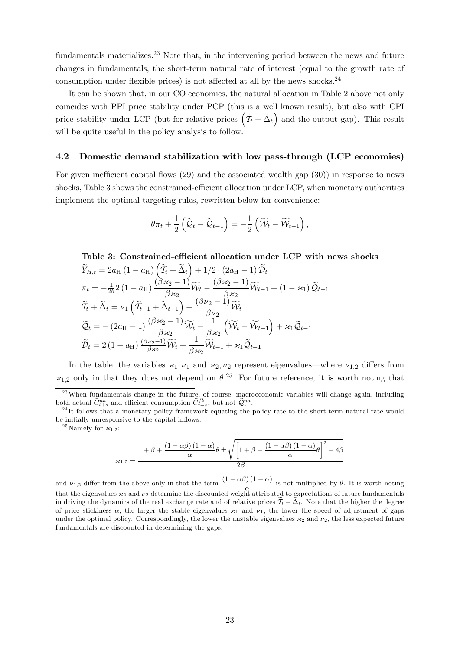fundamentals materializes.<sup>23</sup> Note that, in the intervening period between the news and future changes in fundamentals, the short-term natural rate of interest (equal to the growth rate of consumption under flexible prices) is not affected at all by the news shocks.<sup>24</sup>

It can be shown that, in our CO economies, the natural allocation in Table 2 above not only coincides with PPI price stability under PCP (this is a well known result), but also with CPI price stability under LCP (but for relative prices  $(\tilde{\mathcal{T}}_t + \tilde{\Delta}_t)$  and the output gap). This result will be quite useful in the policy analysis to follow.

### 4.2 Domestic demand stabilization with low pass-through (LCP economies)

For given inefficient capital flows  $(29)$  and the associated wealth gap  $(30)$ ) in response to news shocks, Table 3 shows the constrained-efficient allocation under LCP, when monetary authorities implement the optimal targeting rules, rewritten below for convenience:

$$
\theta \pi_t + \frac{1}{2} \left( \widetilde{\mathcal{Q}}_t - \widetilde{\mathcal{Q}}_{t-1} \right) = -\frac{1}{2} \left( \widetilde{\mathcal{W}}_t - \widetilde{\mathcal{W}}_{t-1} \right),
$$

Table 3: Constrained-efficient allocation under LCP with news shocks

$$
\widetilde{Y}_{H,t} = 2a_{\mathrm{H}} (1 - a_{\mathrm{H}}) \left( \widetilde{T}_{t} + \widetilde{\Delta}_{t} \right) + 1/2 \cdot (2a_{\mathrm{H}} - 1) \widetilde{D}_{t}
$$
\n
$$
\pi_{t} = -\frac{1}{2\theta} 2 (1 - a_{\mathrm{H}}) \frac{(\beta \varkappa_{2} - 1)}{\beta \varkappa_{2}} \widetilde{W}_{t} - \frac{(\beta \varkappa_{2} - 1)}{\beta \varkappa_{2}} \widetilde{W}_{t-1} + (1 - \varkappa_{1}) \widetilde{Q}_{t-1}
$$
\n
$$
\widetilde{T}_{t} + \widetilde{\Delta}_{t} = \nu_{1} \left( \widetilde{T}_{t-1} + \widetilde{\Delta}_{t-1} \right) - \frac{(\beta \nu_{2} - 1)}{\beta \nu_{2}} \widetilde{W}_{t}
$$
\n
$$
\widetilde{Q}_{t} = -(2a_{\mathrm{H}} - 1) \frac{(\beta \varkappa_{2} - 1)}{\beta \varkappa_{2}} \widetilde{W}_{t} - \frac{1}{\beta \varkappa_{2}} \left( \widetilde{W}_{t} - \widetilde{W}_{t-1} \right) + \varkappa_{1} \widetilde{Q}_{t-1}
$$
\n
$$
\widetilde{D}_{t} = 2 (1 - a_{\mathrm{H}}) \frac{(\beta \varkappa_{2} - 1)}{\beta \varkappa_{2}} \widetilde{W}_{t} + \frac{1}{\beta \varkappa_{2}} \widetilde{W}_{t-1} + \varkappa_{1} \widetilde{Q}_{t-1}
$$

In the table, the variables  $x_1, v_1$  and  $x_2, v_2$  represent eigenvalues—where  $v_{1,2}$  differs from  $x_{1,2}$  only in that they does not depend on  $\theta$ .<sup>25</sup> For future reference, it is worth noting that

<sup>25</sup>Namely for  $\varkappa_{1,2}$ :

$$
\varkappa_{1,2}=\dfrac{1+\beta+\dfrac{\left(1-\alpha\beta\right)\left(1-\alpha\right)}{\alpha}\theta\pm\sqrt{\left[1+\beta+\dfrac{\left(1-\alpha\beta\right)\left(1-\alpha\right)}{\alpha}\theta\right]^{2}-4\beta}}{2\beta}
$$

and  $\nu_{1,2}$  differ from the above only in that the term  $\frac{(1-\alpha\beta)(1-\alpha)}{\alpha}$  is not multiplied by  $\theta$ . It is worth noting that the eigenvalues  $x_2$  and  $v_2$  determine the discounted weight attributed to expectations of future fundamentals in driving the dynamics of the real exchange rate and of relative prices  $\mathcal{T}_t + \Delta_t$ . Note that the higher the degree of price stickiness  $\alpha$ , the larger the stable eigenvalues  $\varkappa_1$  and  $v_1$ , the lower the speed of adjustment of gaps under the optimal policy. Correspondingly, the lower the unstable eigenvalues  $\mathfrak{x}_2$  and  $\nu_2$ , the less expected future fundamentals are discounted in determining the gaps.

 $23$ When fundamentals change in the future, of course, macroeconomic variables will change again, including both actual  $\hat{C}_{t+s}^{na}$  and efficient consumption  $\hat{C}_{t+s}^{fb}$ , but not  $\hat{Q}_t^{na}$ 

<sup>&</sup>lt;sup>24</sup>It follows that a monetary policy framework equating the policy rate to the short-term natural rate would be initially unresponsive to the capital inflows.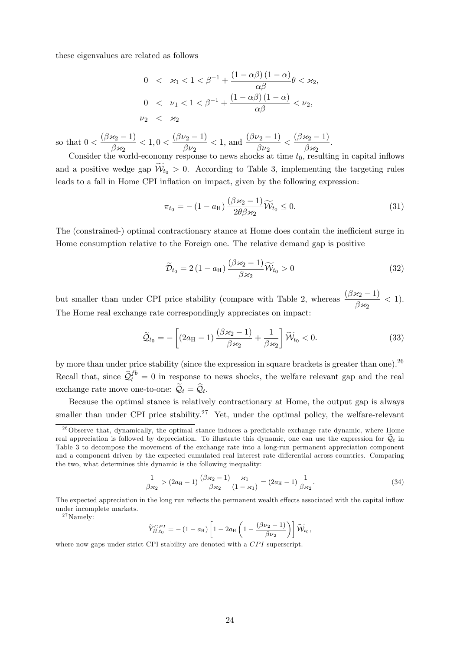these eigenvalues are related as follows

$$
0 < \varkappa_1 < 1 < \beta^{-1} + \frac{(1 - \alpha \beta)(1 - \alpha)}{\alpha \beta} \theta < \varkappa_2,
$$
\n
$$
0 < \nu_1 < 1 < \beta^{-1} + \frac{(1 - \alpha \beta)(1 - \alpha)}{\alpha \beta} < \nu_2,
$$
\n
$$
\nu_2 < \varkappa_2
$$

so that  $0 < \frac{(\beta \varkappa_2 - 1)}{2}$  $\beta$ x $_2$  $< 1, 0 < \frac{(\beta \nu_2 - 1)}{2}$  $\beta$ ν $_2$  $<$  1, and  $\frac{(\beta \nu_2 - 1)}{2}$  $\beta \nu_2$  $<\frac{(\beta x_2-1)}{2}$  $\frac{\beta_{2}-1}{\beta_{2}}$ .

Consider the world-economy response to news shocks at time  $t_0$ , resulting in capital inflows and a positive wedge gap  $W_{t_0} > 0$ . According to Table 3, implementing the targeting rules leads to a fall in Home CPI inflation on impact, given by the following expression:

$$
\pi_{t_0} = -\left(1 - a_H\right) \frac{(\beta \varkappa_2 - 1)}{2\theta \beta \varkappa_2} \widetilde{\mathcal{W}}_{t_0} \le 0. \tag{31}
$$

The (constrained-) optimal contractionary stance at Home does contain the inefficient surge in Home consumption relative to the Foreign one. The relative demand gap is positive

$$
\widetilde{\mathcal{D}}_{t_0} = 2\left(1 - a_{\mathrm{H}}\right) \frac{\left(\beta \varkappa_2 - 1\right)}{\beta \varkappa_2} \widetilde{\mathcal{W}}_{t_0} > 0 \tag{32}
$$

but smaller than under CPI price stability (compare with Table 2, whereas  $\frac{(\beta x_2 - 1)}{2}$  $\frac{\beta_{2}+1}{\beta_{2}}$  < 1). The Home real exchange rate correspondingly appreciates on impact:

$$
\widetilde{Q}_{t_0} = -\left[ (2a_{\rm H} - 1) \frac{(\beta \varkappa_2 - 1)}{\beta \varkappa_2} + \frac{1}{\beta \varkappa_2} \right] \widetilde{W}_{t_0} < 0. \tag{33}
$$

by more than under price stability (since the expression in square brackets is greater than one).<sup>26</sup> Recall that, since  $\hat{Q}_t^{fb} = 0$  in response to news shocks, the welfare relevant gap and the real exchange rate move one-to-one:  $\widetilde{Q}_t = \widehat{Q}_t$ .

Because the optimal stance is relatively contractionary at Home, the output gap is always smaller than under CPI price stability.<sup>27</sup> Yet, under the optimal policy, the welfare-relevant

$$
\frac{1}{\beta \varkappa_2} > (2a_{\rm H} - 1) \frac{(\beta \varkappa_2 - 1)}{\beta \varkappa_2} \frac{\varkappa_1}{(1 - \varkappa_1)} = (2a_{\rm H} - 1) \frac{1}{\beta \varkappa_2}.
$$
 (34)

The expected appreciation in the long run reflects the permanent wealth effects associated with the capital inflow under incomplete markets.

 $\rm{^{27}Namely:}$ 

$$
\widetilde{Y}_{H,t_0}^{CPI} = -(1 - a_H) \left[ 1 - 2a_H \left( 1 - \frac{(\beta \nu_2 - 1)}{\beta \nu_2} \right) \right] \widetilde{\mathcal{W}}_{t_0},
$$

where now gaps under strict CPI stability are denoted with a *CPI* superscript.

 $^{26}$ Observe that, dynamically, the optimal stance induces a predictable exchange rate dynamic, where Home real appreciation is followed by depreciation. To illustrate this dynamic, one can use the expression for  $\mathcal{Q}_t$  in Table 3 to decompose the movement of the exchange rate into a long-run permanent appreciation component and a component driven by the expected cumulated real interest rate differential across countries. Comparing the two, what determines this dynamic is the following inequality: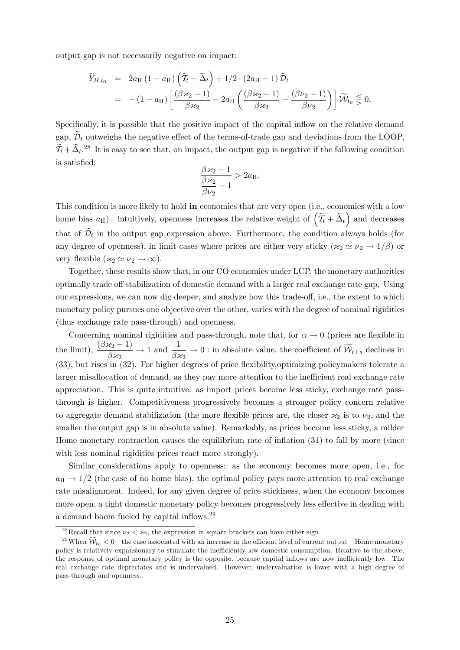output gap is not necessarily negative on impact:

$$
\widetilde{Y}_{H,t_0} = 2a_H (1 - a_H) \left( \widetilde{T}_t + \widetilde{\Delta}_t \right) + 1/2 \cdot (2a_H - 1) \widetilde{\mathcal{D}}_t \n= -(1 - a_H) \left[ \frac{(\beta \varkappa_2 - 1)}{\beta \varkappa_2} - 2a_H \left( \frac{(\beta \varkappa_2 - 1)}{\beta \varkappa_2} - \frac{(\beta \nu_2 - 1)}{\beta \nu_2} \right) \right] \widetilde{\mathcal{W}}_{t_0} \leq 0,
$$

Specifically, it is possible that the positive impact of the capital inflow on the relative demand gap,  $\mathcal{D}_t$  outweighs the negative effect of the terms-of-trade gap and deviations from the LOOP,  $\tilde{\mathcal{I}}_t + \tilde{\Delta}_t$ <sup>28</sup> It is easy to see that, on impact, the output gap is negative if the following condition is satisfied:

$$
\frac{\beta \varkappa_2 - 1}{\beta \varkappa_2 - 1} > 2a_{\mathrm{H}}.
$$

This condition is more likely to hold in economies that are very open (i.e., economies with a low home bias  $a_H$ )—intuitively, openness increases the relative weight of  $(\tilde{\mathcal{T}}_t + \tilde{\Delta}_t)$  and decreases that of  $\widetilde{\mathcal{D}}_t$  in the output gap expression above. Furthermore, the condition always holds (for any degree of openness), in limit cases where prices are either very sticky ( $\alpha_2 \simeq \nu_2 \rightarrow 1/\beta$ ) or very flexible  $(\varkappa_2 \simeq \nu_2 \to \infty)$ .

Together, these results show that, in our CO economies under LCP, the monetary authorities optimally trade off stabilization of domestic demand with a larger real exchange rate gap. Using our expressions, we can now dig deeper, and analyze how this trade-off, i.e., the extent to which monetary policy pursues one objective over the other, varies with the degree of nominal rigidities (thus exchange rate pass-through) and openness.

Concerning nominal rigidities and pass-through, note that, for  $\alpha \to 0$  (prices are flexible in the limit),  $\frac{(\beta x_2 - 1)}{2}$  $\frac{\kappa_2-1}{\beta \kappa_2} \to 1$  and  $\frac{1}{\beta \kappa_2} \to 0$ : in absolute value, the coefficient of  $\widetilde{\mathcal{W}}_{t+s}$  declines in (33), but rises in (32). For higher degrees of price flexibility,optimizing policymakers tolerate a larger misallocation of demand, as they pay more attention to the inefficient real exchange rate appreciation. This is quite intuitive: as import prices become less sticky, exchange rate passthrough is higher. Competitiveness progressively becomes a stronger policy concern relative to aggregate demand stabilization (the more flexible prices are, the closer  ${\varkappa}_2$  is to  ${\nu}_2$ , and the smaller the output gap is in absolute value). Remarkably, as prices become less sticky, a milder Home monetary contraction causes the equilibrium rate of inflation (31) to fall by more (since with less nominal rigidities prices react more strongly).

Similar considerations apply to openness: as the economy becomes more open, i.e., for  $a_H \rightarrow 1/2$  (the case of no home bias), the optimal policy pays more attention to real exchange rate misalignment. Indeed, for any given degree of price stickiness, when the economy becomes more open, a tight domestic monetary policy becomes progressively less effective in dealing with a demand boom fueled by capital inflows.29

<sup>&</sup>lt;sup>28</sup> Recall that since  $\nu_2 < \varkappa_2$ , the expression in square brackets can have either sign.

 $^{29}$ When  $\widehat{\mathcal{W}}_{t_0} < 0$ —the case associated with an increase in the efficient level of current output—Home monetary policy is relatively expansionary to stimulate the inefficiently low domestic consumption. Relative to the above, the response of optimal monetary policy is the opposite, because capital inflows are now inefficiently low. The real exchange rate depreciates and is undervalued. However, undervaluation is lower with a high degree of pass-through and openness.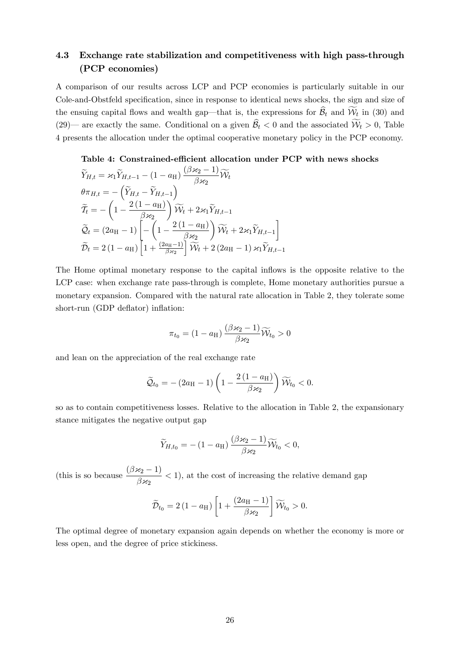### 4.3 Exchange rate stabilization and competitiveness with high pass-through (PCP economies)

A comparison of our results across LCP and PCP economies is particularly suitable in our Cole-and-Obstfeld specification, since in response to identical news shocks, the sign and size of the ensuing capital flows and wealth gap—that is, the expressions for  $B_t$  and  $W_t$  in (30) and (29)— are exactly the same. Conditional on a given  $B_t < 0$  and the associated  $W_t > 0$ , Table 4 presents the allocation under the optimal cooperative monetary policy in the PCP economy.

### Table 4: Constrained-efficient allocation under PCP with news shocks

$$
\widetilde{Y}_{H,t} = \varkappa_1 \widetilde{Y}_{H,t-1} - (1 - a_H) \frac{(\beta \varkappa_2 - 1)}{\beta \varkappa_2} \widetilde{W}_t
$$
\n
$$
\theta \pi_{H,t} = -\left(\widetilde{Y}_{H,t} - \widetilde{Y}_{H,t-1}\right)
$$
\n
$$
\widetilde{T}_t = -\left(1 - \frac{2(1 - a_H)}{\beta \varkappa_2}\right) \widetilde{W}_t + 2\varkappa_1 \widetilde{Y}_{H,t-1}
$$
\n
$$
\widetilde{Q}_t = (2a_H - 1) \left[ -\left(1 - \frac{2(1 - a_H)}{\beta \varkappa_2}\right) \widetilde{W}_t + 2\varkappa_1 \widetilde{Y}_{H,t-1} \right]
$$
\n
$$
\widetilde{D}_t = 2(1 - a_H) \left[ 1 + \frac{(2a_H - 1)}{\beta \varkappa_2} \right] \widetilde{W}_t + 2(2a_H - 1) \varkappa_1 \widetilde{Y}_{H,t-1}
$$

The Home optimal monetary response to the capital inflows is the opposite relative to the LCP case: when exchange rate pass-through is complete, Home monetary authorities pursue a monetary expansion. Compared with the natural rate allocation in Table 2, they tolerate some short-run (GDP deflator) inflation:

$$
\pi_{t_0} = (1 - a_{\rm H}) \frac{(\beta \varkappa_2 - 1)}{\beta \varkappa_2} \widetilde{\mathcal{W}}_{t_0} > 0
$$

and lean on the appreciation of the real exchange rate

$$
\widetilde{\mathcal{Q}}_{t_0} = - (2a_{\mathrm{H}} - 1) \left( 1 - \frac{2(1 - a_{\mathrm{H}})}{\beta \varkappa_2} \right) \widetilde{\mathcal{W}}_{t_0} < 0.
$$

so as to contain competitiveness losses. Relative to the allocation in Table 2, the expansionary stance mitigates the negative output gap

$$
\widetilde{Y}_{H,t_0} = -(1 - a_{\mathrm{H}}) \, \frac{(\beta \varkappa_2 - 1)}{\beta \varkappa_2} \widetilde{W}_{t_0} < 0,
$$

(this is so because  $\frac{(\beta x_2 - 1)}{2}$  $\frac{f(z_2 - z)}{\beta z_2}$  < 1), at the cost of increasing the relative demand gap

$$
\widetilde{\mathcal{D}}_{t_0} = 2(1 - a_{\mathrm{H}}) \left[ 1 + \frac{(2a_{\mathrm{H}} - 1)}{\beta \varkappa_2} \right] \widetilde{\mathcal{W}}_{t_0} > 0.
$$

The optimal degree of monetary expansion again depends on whether the economy is more or less open, and the degree of price stickiness.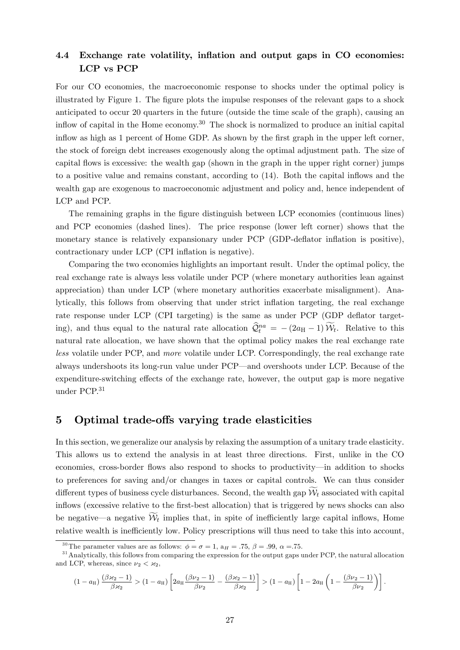### 4.4 Exchange rate volatility, inflation and output gaps in CO economies: LCP vs PCP

For our CO economies, the macroeconomic response to shocks under the optimal policy is illustrated by Figure 1. The figure plots the impulse responses of the relevant gaps to a shock anticipated to occur 20 quarters in the future (outside the time scale of the graph), causing an inflow of capital in the Home economy.<sup>30</sup> The shock is normalized to produce an initial capital inflow as high as 1 percent of Home GDP. As shown by the first graph in the upper left corner, the stock of foreign debt increases exogenously along the optimal adjustment path. The size of capital flows is excessive: the wealth gap (shown in the graph in the upper right corner) jumps to a positive value and remains constant, according to (14). Both the capital inflows and the wealth gap are exogenous to macroeconomic adjustment and policy and, hence independent of LCP and PCP.

The remaining graphs in the figure distinguish between LCP economies (continuous lines) and PCP economies (dashed lines). The price response (lower left corner) shows that the monetary stance is relatively expansionary under PCP (GDP-deflator inflation is positive), contractionary under LCP (CPI inflation is negative).

Comparing the two economies highlights an important result. Under the optimal policy, the real exchange rate is always less volatile under PCP (where monetary authorities lean against appreciation) than under LCP (where monetary authorities exacerbate misalignment). Analytically, this follows from observing that under strict inflation targeting, the real exchange rate response under LCP (CPI targeting) is the same as under PCP (GDP deflator targeting), and thus equal to the natural rate allocation  $\hat{Q}_t^{na} = -(2a_H - 1)\hat{W}_t$ . Relative to this natural rate allocation, we have shown that the optimal policy makes the real exchange rate *less* volatile under PCP, and *more* volatile under LCP. Correspondingly, the real exchange rate always undershoots its long-run value under PCP–and overshoots under LCP. Because of the expenditure-switching effects of the exchange rate, however, the output gap is more negative under PCP.31

### 5 Optimal trade-offs varying trade elasticities

In this section, we generalize our analysis by relaxing the assumption of a unitary trade elasticity*.* This allows us to extend the analysis in at least three directions. First, unlike in the CO economies, cross-border flows also respond to shocks to productivity–in addition to shocks to preferences for saving and/or changes in taxes or capital controls. We can thus consider different types of business cycle disturbances. Second, the wealth gap  $\mathcal{W}_t$  associated with capital inflows (excessive relative to the first-best allocation) that is triggered by news shocks can also be negative—a negative  $\mathcal{W}_t$  implies that, in spite of inefficiently large capital inflows, Home relative wealth is inefficiently low. Policy prescriptions will thus need to take this into account,

$$
(1-a_H)\,\frac{(\beta\varkappa_2-1)}{\beta\varkappa_2}>(1-a_H)\left[2a_H\frac{(\beta\nu_2-1)}{\beta\nu_2}-\frac{(\beta\varkappa_2-1)}{\beta\varkappa_2}\right]>(1-a_H)\left[1-2a_H\left(1-\frac{(\beta\nu_2-1)}{\beta\nu_2}\right)\right].
$$

<sup>&</sup>lt;sup>30</sup>The parameter values are as follows:  $\phi = \sigma = 1$ ,  $a_H = .75$ ,  $\beta = .99$ ,  $\alpha = .75$ .

<sup>&</sup>lt;sup>31</sup> Analytically, this follows from comparing the expression for the output gaps under PCP, the natural allocation and LCP, whereas, since  $\nu_2 < \varkappa_2$ ,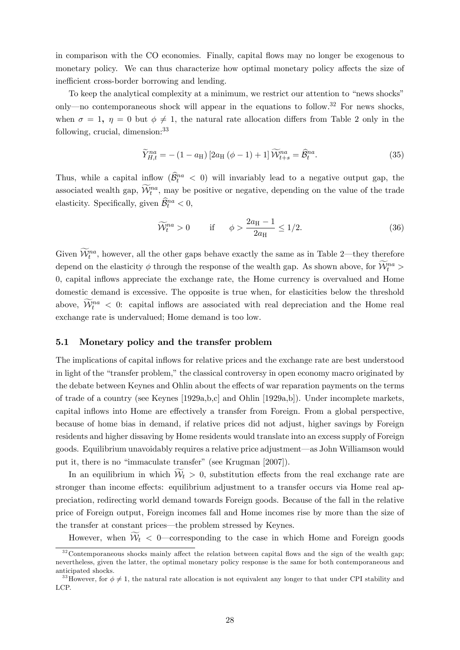in comparison with the CO economies. Finally, capital flows may no longer be exogenous to monetary policy. We can thus characterize how optimal monetary policy affects the size of inefficient cross-border borrowing and lending.

To keep the analytical complexity at a minimum, we restrict our attention to "news shocks" only–no contemporaneous shock will appear in the equations to follow.32 For news shocks, when  $\sigma = 1$ ,  $\eta = 0$  but  $\phi \neq 1$ , the natural rate allocation differs from Table 2 only in the following, crucial, dimension:33

$$
\widetilde{Y}_{H,t}^{na} = -(1 - a_{\rm H}) \left[ 2a_{\rm H} \left( \phi - 1 \right) + 1 \right] \widetilde{\mathcal{W}}_{t+s}^{na} = \widehat{\mathcal{B}}_t^{na}.
$$
\n(35)

Thus, while a capital inflow  $(\widehat{\mathcal{B}}_t^{na} < 0)$  will invariably lead to a negative output gap, the associated wealth gap,  $\mathcal{W}_t^{na}$ , may be positive or negative, depending on the value of the trade elasticity. Specifically, given  $\widehat{B}_t^{na} < 0$ ,

$$
\widetilde{\mathcal{W}}_t^{na} > 0 \qquad \text{if} \qquad \phi > \frac{2a_\text{H} - 1}{2a_\text{H}} \le 1/2. \tag{36}
$$

Given  $\widetilde{\mathcal{W}}_t^{na}$ , however, all the other gaps behave exactly the same as in Table 2—they therefore depend on the elasticity  $\phi$  through the response of the wealth gap. As shown above, for  $\mathcal{W}_t^{na}$ 0*,* capital inflows appreciate the exchange rate, the Home currency is overvalued and Home domestic demand is excessive. The opposite is true when, for elasticities below the threshold above,  $\widetilde{\mathcal{W}}_t^{na} < 0$ : capital inflows are associated with real depreciation and the Home real exchange rate is undervalued; Home demand is too low.

### 5.1 Monetary policy and the transfer problem

The implications of capital inflows for relative prices and the exchange rate are best understood in light of the "transfer problem," the classical controversy in open economy macro originated by the debate between Keynes and Ohlin about the effects of war reparation payments on the terms of trade of a country (see Keynes [1929a,b,c] and Ohlin [1929a,b]). Under incomplete markets, capital inflows into Home are effectively a transfer from Foreign. From a global perspective, because of home bias in demand, if relative prices did not adjust, higher savings by Foreign residents and higher dissaving by Home residents would translate into an excess supply of Foreign goods. Equilibrium unavoidably requires a relative price adjustment–as John Williamson would put it, there is no "immaculate transfer" (see Krugman [2007]).

In an equilibrium in which  $W_t > 0$ , substitution effects from the real exchange rate are stronger than income effects: equilibrium adjustment to a transfer occurs via Home real appreciation, redirecting world demand towards Foreign goods. Because of the fall in the relative price of Foreign output, Foreign incomes fall and Home incomes rise by more than the size of the transfer at constant prices–the problem stressed by Keynes.

However, when  $W_t < 0$ —corresponding to the case in which Home and Foreign goods

 $32$ Contemporaneous shocks mainly affect the relation between capital flows and the sign of the wealth gap; nevertheless, given the latter, the optimal monetary policy response is the same for both contemporaneous and anticipated shocks.

<sup>&</sup>lt;sup>33</sup>However, for  $\phi \neq 1$ , the natural rate allocation is not equivalent any longer to that under CPI stability and LCP.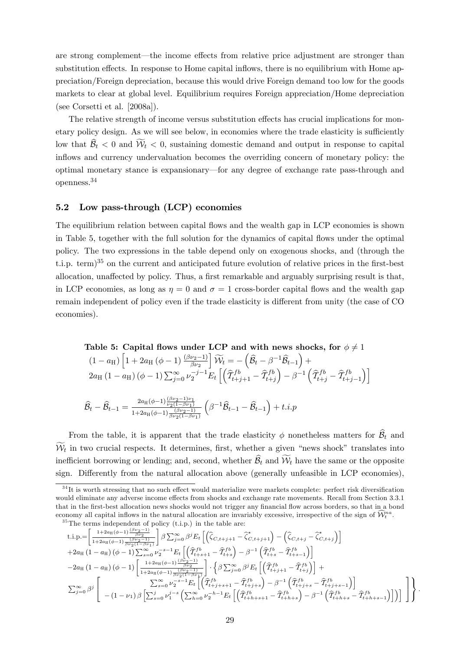are strong complement—the income effects from relative price adjustment are stronger than substitution effects. In response to Home capital inflows, there is no equilibrium with Home appreciation/Foreign depreciation, because this would drive Foreign demand too low for the goods markets to clear at global level. Equilibrium requires Foreign appreciation/Home depreciation (see Corsetti et al. [2008a]).

The relative strength of income versus substitution effects has crucial implications for monetary policy design. As we will see below, in economies where the trade elasticity is sufficiently low that  $B_t < 0$  and  $W_t < 0$ , sustaining domestic demand and output in response to capital inflows and currency undervaluation becomes the overriding concern of monetary policy: the optimal monetary stance is expansionary–for any degree of exchange rate pass-through and openness.34

### 5.2 Low pass-through (LCP) economies

The equilibrium relation between capital flows and the wealth gap in LCP economies is shown in Table 5, together with the full solution for the dynamics of capital flows under the optimal policy. The two expressions in the table depend only on exogenous shocks, and (through the t.i.p. term)<sup>35</sup> on the current and anticipated future evolution of relative prices in the first-best allocation, unaffected by policy. Thus, a first remarkable and arguably surprising result is that, in LCP economies, as long as  $\eta = 0$  and  $\sigma = 1$  cross-border capital flows and the wealth gap remain independent of policy even if the trade elasticity is different from unity (the case of CO economies).

Table 5: Capital flows under LCP and with news shocks, for 
$$
\phi \neq 1
$$
  
\n
$$
(1 - a_H) \left[ 1 + 2a_H (\phi - 1) \frac{(\beta \nu_2 - 1)}{\beta \nu_2} \right] \widetilde{W}_t = -(\widehat{\mathcal{B}}_t - \beta^{-1} \widehat{\mathcal{B}}_{t-1}) +
$$
\n
$$
2a_H (1 - a_H) (\phi - 1) \sum_{j=0}^{\infty} \nu_2^{-j-1} E_t \left[ \left( \widehat{T}_{t+j+1}^{fb} - \widehat{T}_{t+j}^{fb} \right) - \beta^{-1} \left( \widehat{T}_{t+j}^{fb} - \widehat{T}_{t+j-1}^{fb} \right) \right]
$$
\n
$$
\widehat{\mathcal{B}}_t - \widehat{\mathcal{B}}_{t-1} = \frac{2a_H (\phi - 1) \frac{(\beta \nu_2 - 1)\nu_1}{\nu_2 (1 - \beta \nu_1)}}{1 + 2a_H (\phi - 1) \frac{(\beta \nu_2 - 1)}{\nu_2 (1 - \beta \nu_1)}} \left( \beta^{-1} \widehat{\mathcal{B}}_{t-1} - \widehat{\mathcal{B}}_{t-1} \right) + t.i.p
$$

From the table, it is apparent that the trade elasticity  $\phi$  nonetheless matters for  $\widehat{\mathcal{B}}_t$  and  $W_t$  in two crucial respects. It determines, first, whether a given "news shock" translates into inefficient borrowing or lending; and, second, whether  $B_t$  and  $W_t$  have the same or the opposite sign. Differently from the natural allocation above (generally unfeasible in LCP economies),

$$
\begin{split} &\text{t.i.p.}=\left[\frac{1+2a_{\text{H}}(\phi-1)\frac{(\beta\nu_{2}-1)}{\beta\nu_{2}}}{1+2a_{\text{H}}(\phi-1)\frac{(\beta\nu_{2}-1)}{\beta\nu_{2}(1-\beta\nu_{1})}}\right]\beta\sum_{j=0}^{\infty}\beta^{j}E_{t}\left[\left(\widehat{\zeta}_{C,t+j+1}-\widehat{\zeta}_{C,t+j+1}^{*}\right)-\left(\widehat{\zeta}_{C,t+j}-\widehat{\zeta}_{C,t+j}^{*}\right)\right]\\ &+2a_{\text{H}}\left(1-a_{\text{H}}\right)\left(\phi-1\right)\sum_{s=0}^{\infty}\nu_{2}^{-s-1}E_{t}\left[\left(\widehat{T}_{t+s+1}^{fb}-\widehat{T}_{t+s}^{fb}\right)-\beta^{-1}\left(\widehat{T}_{t+s}^{fb}-\widehat{T}_{t+s-1}^{fb}\right)\right]\\ &-2a_{\text{H}}\left(1-a_{\text{H}}\right)\left(\phi-1\right)\left[\frac{1+2a_{\text{H}}(\phi-1)\frac{(\beta\nu_{2}-1)}{\beta\nu_{2}(1-\beta\nu_{1})}}{1+2a_{\text{H}}(\phi-1)\frac{(\beta\nu_{2}-1)}{\beta\nu_{2}(1-\beta\nu_{1})}}\right]\cdot\left\{\beta\sum_{j=0}^{\infty}\beta^{j}E_{t}\left[\left(\widehat{T}_{t+j+1}^{fb}-\widehat{T}_{t+j}^{fb}\right)\right]+\\ &\sum_{j=0}^{\infty}\beta^{j}\left[\begin{array}{c} \sum_{s=0}^{\infty}\nu_{2}^{-s-1}E_{t}\left[\left(\widehat{T}_{t+j+s+1}^{fb}-\widehat{T}_{t+j+s}^{fb}\right)-\beta^{-1}\left(\widehat{T}_{t+j+s}^{fb}-\widehat{T}_{t+j+s-1}^{fb}\right)\right] \\ -\left(1-\nu_{1}\right)\beta\left[\sum_{s=0}^{j}\nu_{1}^{j-s}\left(\sum_{h=0}^{\infty}\nu_{2}^{-h-1}E_{t}\left[\left(\widehat{T}_{t+h+s+1}^{fb}-\widehat{T}_{t+h+s}^{fb}\right)-\beta^{-1}\left(\widehat{T}_{t+h+s}^{fb}-\widehat{T}_{t+h+s-1}^{fb}\right)\right]\right]\right]\end{array}\end{split}
$$

 $34$ It is worth stressing that no such effect would materialize were markets complete: perfect risk diversification would eliminate any adverse income effects from shocks and exchange rate movements. Recall from Section 3.3.1 that in the first-best allocation news shocks would not trigger any financial flow across borders, so that in a bond economy all capital inflows in the natural allocation are invariably excessive, irrespective of the sign of  $\widehat{W}^{na}_{t}$ .<br><sup>35</sup>The terms independent of policy (t.i.p.) in the table are: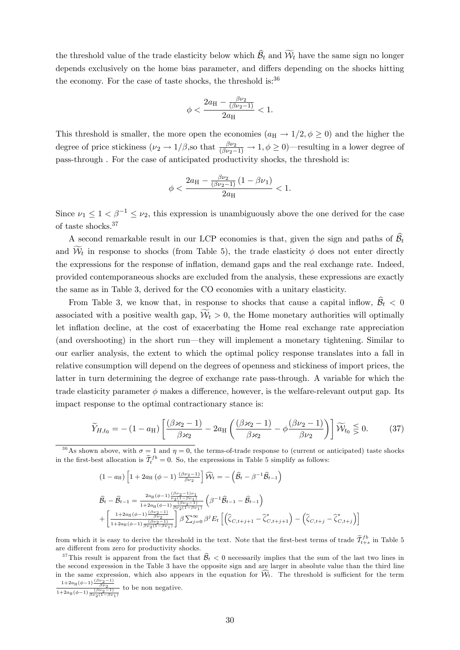the threshold value of the trade elasticity below which  $B_t$  and  $\mathcal{W}_t$  have the same sign no longer depends exclusively on the home bias parameter, and differs depending on the shocks hitting the economy. For the case of taste shocks, the threshold is: $36$ 

$$
\phi < \frac{2a_{\rm H} - \frac{\beta \nu_2}{(\beta \nu_2 - 1)}}{2a_{\rm H}} < 1.
$$

This threshold is smaller, the more open the economies  $(a_H \rightarrow 1/2, \phi \ge 0)$  and the higher the degree of price stickiness  $(\nu_2 \to 1/\beta)$ , so that  $\frac{\beta \nu_2}{(\beta \nu_2 - 1)} \to 1, \phi \ge 0$ )—resulting in a lower degree of pass-through . For the case of anticipated productivity shocks, the threshold is:

$$
\phi < \frac{2a_{\rm H} - \frac{\beta \nu_2}{(\beta \nu_2 - 1)} \left(1 - \beta \nu_1\right)}{2a_{\rm H}} < 1.
$$

Since  $\nu_1 \leq 1 < \beta^{-1} \leq \nu_2$ , this expression is unambiguously above the one derived for the case of taste shocks.37

A second remarkable result in our LCP economies is that, given the sign and paths of  $\widehat{\mathcal{B}}_t$ and  $\mathcal{W}_t$  in response to shocks (from Table 5), the trade elasticity  $\phi$  does not enter directly the expressions for the response of inflation, demand gaps and the real exchange rate. Indeed, provided contemporaneous shocks are excluded from the analysis, these expressions are exactly the same as in Table 3, derived for the CO economies with a unitary elasticity.

From Table 3, we know that, in response to shocks that cause a capital inflow,  $\widehat{\mathcal{B}}_t < 0$ associated with a positive wealth gap,  $W_t > 0$ , the Home monetary authorities will optimally let inflation decline, at the cost of exacerbating the Home real exchange rate appreciation (and overshooting) in the short run–they will implement a monetary tightening. Similar to our earlier analysis, the extent to which the optimal policy response translates into a fall in relative consumption will depend on the degrees of openness and stickiness of import prices, the latter in turn determining the degree of exchange rate pass-through. A variable for which the trade elasticity parameter  $\phi$  makes a difference, however, is the welfare-relevant output gap. Its impact response to the optimal contractionary stance is:

$$
\widetilde{Y}_{H,t_0} = -(1 - a_H) \left[ \frac{(\beta \varkappa_2 - 1)}{\beta \varkappa_2} - 2a_H \left( \frac{(\beta \varkappa_2 - 1)}{\beta \varkappa_2} - \phi \frac{(\beta \nu_2 - 1)}{\beta \nu_2} \right) \right] \widetilde{W}_{t_0} \leq 0. \tag{37}
$$

<sup>36</sup>As shown above, with  $\sigma = 1$  and  $\eta = 0$ , the terms-of-trade response to (current or anticipated) taste shocks in the first-best allocation is  $\tilde{\mathcal{I}}_t^{fb} = 0$ . So, the expressions in Table 5 simplify as follows:

$$
(1 - a_{\mathrm{H}}) \left[ 1 + 2a_{\mathrm{H}} (\phi - 1) \frac{(\beta \nu_2 - 1)}{\beta \nu_2} \right] \widehat{W}_t = -(\widehat{\mathcal{B}}_t - \beta^{-1} \widehat{\mathcal{B}}_{t-1})
$$
  

$$
\widehat{\mathcal{B}}_t - \widehat{\mathcal{B}}_{t-1} = \frac{2a_{\mathrm{H}} (\phi - 1) \frac{(\beta \nu_2 - 1) \nu_1}{\nu_2 (1 - \beta \nu_1)}}{1 + 2a_{\mathrm{H}} (\phi - 1) \frac{(\beta \nu_2 - 1)}{\beta \nu_2 (1 - \beta \nu_1)}} \left( \beta^{-1} \widehat{\mathcal{B}}_{t-1} - \widehat{\mathcal{B}}_{t-1} \right)
$$
  

$$
+ \left[ \frac{1 + 2a_{\mathrm{H}} (\phi - 1) \frac{(\beta \nu_2 - 1)}{\beta \nu_2 (1 - \beta \nu_1)}}{\beta \nu_2 (1 - \beta \nu_1)} \right] \beta \sum_{j=0}^{\infty} \beta^j E_t \left[ \left( \widehat{\zeta}_{C, t+j+1} - \widehat{\zeta}_{C, t+j+1}^* \right) - \left( \widehat{\zeta}_{C, t+j} - \widehat{\zeta}_{C, t+j}^* \right) \right]
$$

from which it is easy to derive the threshold in the text. Note that the first-best terms of trade  $\tilde{\mathcal{I}}_{t+s}^{fb}$  in Table 5 are different from zero for productivity shocks.

<sup>37</sup>This result is apparent from the fact that  $\widehat{\mathcal{B}}_t < 0$  necessarily implies that the sum of the last two lines in the second expression in the Table 3 have the opposite sign and are larger in absolute value than the third line in the same expression, which also appears in the equation for  $W_t$ . The threshold is sufficient for the term  $\frac{1+2a_{\text{H}}(\phi-1)\frac{(\beta\nu_2-1)}{\beta\nu_2}}{1+2a_{\text{H}}(\phi-1)\frac{(\beta\nu_2-1)}{\beta\nu_2(1-\beta\nu_1)}}$ to be non negative.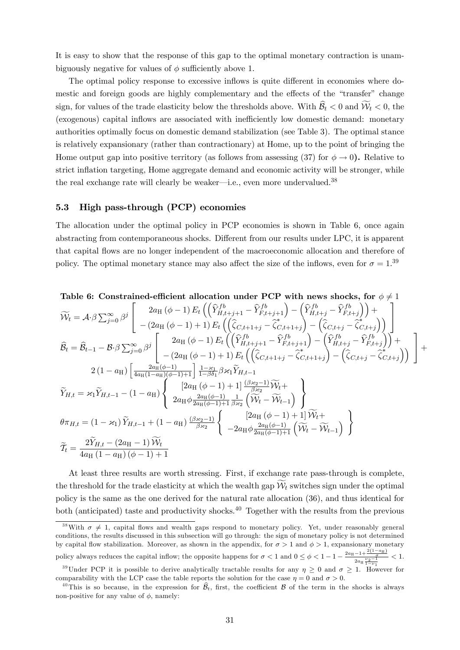It is easy to show that the response of this gap to the optimal monetary contraction is unambiguously negative for values of  $\phi$  sufficiently above 1.

The optimal policy response to excessive inflows is quite different in economies where domestic and foreign goods are highly complementary and the effects of the "transfer" change sign, for values of the trade elasticity below the thresholds above. With  $B_t < 0$  and  $W_t < 0$ , the (exogenous) capital inflows are associated with inefficiently low domestic demand: monetary authorities optimally focus on domestic demand stabilization (see Table 3). The optimal stance is relatively expansionary (rather than contractionary) at Home, up to the point of bringing the Home output gap into positive territory (as follows from assessing (37) for  $\phi \to 0$ ). Relative to strict inflation targeting, Home aggregate demand and economic activity will be stronger, while the real exchange rate will clearly be weaker—i.e., even more undervalued.<sup>38</sup>

### 5.3 High pass-through (PCP) economies

The allocation under the optimal policy in PCP economies is shown in Table 6, once again abstracting from contemporaneous shocks. Different from our results under LPC, it is apparent that capital flows are no longer independent of the macroeconomic allocation and therefore of policy. The optimal monetary stance may also affect the size of the inflows, even for  $\sigma = 1.39$ 

Table 6: Constrained-efficient allocation under PCP with news shocks, for 
$$
\phi \neq 1
$$
  
\n
$$
\widetilde{\mathcal{W}}_t = \mathcal{A} \cdot \beta \sum_{j=0}^{\infty} \beta^j \begin{bmatrix} 2a_H(\phi - 1) E_t \left( \left( \widehat{Y}_{H,t+j+1}^{fb} - \widehat{Y}_{F,t+j+1}^{fb} \right) - \left( \widehat{Y}_{H,t+j}^{fb} - \widehat{Y}_{F,t+j}^{fb} \right) \right) + \\ - (2a_H(\phi - 1) + 1) E_t \left( \left( \widehat{\zeta}_{C,t+1+j} - \widehat{\zeta}_{C,t+1+j}^{fb} \right) - \left( \widehat{\zeta}_{C,t+j} - \widehat{\zeta}_{C,t+j}^{b} \right) \right) \end{bmatrix}
$$
\n
$$
\widehat{B}_t = \widehat{B}_{t-1} - \mathcal{B} \cdot \beta \sum_{j=0}^{\infty} \beta^j \begin{bmatrix} 2a_H(\phi - 1) E_t \left( \left( \widehat{Y}_{H,t+j+1}^{fb} - \widehat{Y}_{F,t+j+1}^{fb} \right) - \left( \widehat{Y}_{H,t+j}^{fb} - \widehat{Y}_{F,t+j}^{fb} \right) \right) + \\ - (2a_H(\phi - 1) + 1) E_t \left( \left( \widehat{\zeta}_{C,t+1+j} - \widehat{\zeta}_{C,t+1+j}^{fb} \right) - \left( \widehat{\zeta}_{C,t+j} - \widehat{\zeta}_{C,t+j}^{fb} \right) \right) \end{bmatrix} + 2(1 - a_H) \begin{bmatrix} 2a_H(\phi - 1) + 1 | \frac{1 - s_H}{1 - \beta \delta_1} \beta \varkappa_1 \widetilde{Y}_{H,t-1} \\ 2a_H(\phi - 1) + 1 | \frac{(\beta \varkappa_2 - 1)}{\beta \varkappa_2} \widetilde{W}_t + \\ 2a_H(\phi - 1) + 1 | \frac{3 \varkappa_2}{\beta \varkappa_2} \left( \widehat{W}_t - \widehat{W}_{t-1} \right) \end{bmatrix}
$$
\n
$$
\widehat{T}_{H,t} = \varkappa_1 \widetilde{Y}_{H,t-1} - (1 - a_H) \begin{bmatrix} 2a_H(\phi - 1) + 1 | \frac{(\beta \
$$

At least three results are worth stressing. First, if exchange rate pass-through is complete, the threshold for the trade elasticity at which the wealth gap  $\mathcal{W}_t$  switches sign under the optimal policy is the same as the one derived for the natural rate allocation (36), and thus identical for both (anticipated) taste and productivity shocks.<sup>40</sup> Together with the results from the previous

<sup>&</sup>lt;sup>38</sup>With  $\sigma \neq 1$ , capital flows and wealth gaps respond to monetary policy. Yet, under reasonably general conditions, the results discussed in this subsection will go through: the sign of monetary policy is not determined by capital flow stabilization. Moreover, as shown in the appendix, for  $\sigma > 1$  and  $\phi > 1$ , expansionary monetary policy always reduces the capital inflow; the opposite happens for  $\sigma < 1$  and  $0 \leq \phi < 1 - 1 - \frac{2a_H - 1 + \frac{2(1-a_H)}{\sigma}}{2a_H \frac{\nu_2 - 1}{1 - \nu_1}}$ *<* 1*.* <sup>39</sup>Under PCP it is possible to derive analytically tractable results for any  $\eta \geq 0$  and  $\sigma \geq 1$ . However for comparability with the LCP case the table reports the solution for the case  $\eta = 0$  and  $\sigma > 0$ .

<sup>&</sup>lt;sup>40</sup>This is so because, in the expression for  $\widehat{\mathcal{B}}_t$ , first, the coefficient  $\mathcal B$  of the term in the shocks is always non-positive for any value of  $\phi$ , namely: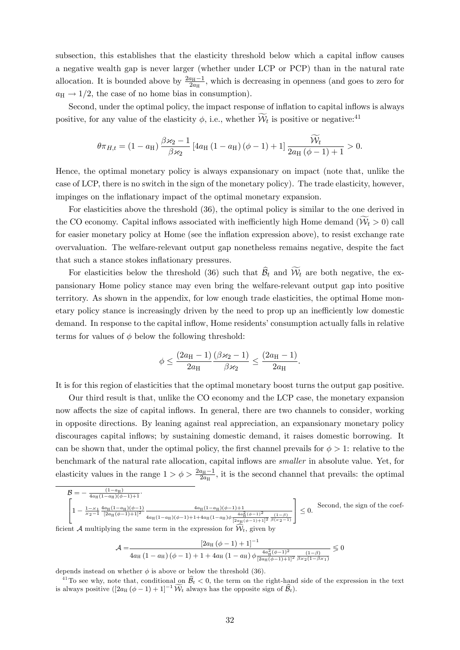subsection, this establishes that the elasticity threshold below which a capital inflow causes a negative wealth gap is never larger (whether under LCP or PCP) than in the natural rate allocation. It is bounded above by  $\frac{2a_{\text{H}}-1}{2a_{\text{H}}}$ , which is decreasing in openness (and goes to zero for  $a_H \rightarrow 1/2$ , the case of no home bias in consumption).

Second, under the optimal policy, the impact response of inflation to capital inflows is always positive, for any value of the elasticity  $\phi$ , i.e., whether  $\mathcal{W}_t$  is positive or negative:<sup>41</sup>

$$
\theta \pi_{H,t} = (1 - a_H) \frac{\beta \varkappa_2 - 1}{\beta \varkappa_2} \left[ 4a_H \left( 1 - a_H \right) \left( \phi - 1 \right) + 1 \right] \frac{\widetilde{W}_t}{2a_H \left( \phi - 1 \right) + 1} > 0.
$$

Hence, the optimal monetary policy is always expansionary on impact (note that, unlike the case of LCP, there is no switch in the sign of the monetary policy). The trade elasticity, however, impinges on the inflationary impact of the optimal monetary expansion.

For elasticities above the threshold (36), the optimal policy is similar to the one derived in the CO economy. Capital inflows associated with inefficiently high Home demand  $(W_t > 0)$  call for easier monetary policy at Home (see the inflation expression above), to resist exchange rate overvaluation. The welfare-relevant output gap nonetheless remains negative, despite the fact that such a stance stokes inflationary pressures.

For elasticities below the threshold (36) such that  $B_t$  and  $W_t$  are both negative, the expansionary Home policy stance may even bring the welfare-relevant output gap into positive territory. As shown in the appendix, for low enough trade elasticities, the optimal Home monetary policy stance is increasingly driven by the need to prop up an inefficiently low domestic demand. In response to the capital inflow, Home residents' consumption actually falls in relative terms for values of  $\phi$  below the following threshold:

$$
\phi \leq \frac{(2a_{\mathrm{H}}-1) (\beta \varkappa_2-1)}{2a_{\mathrm{H}}} \frac{(\beta \varkappa_2-1)}{\beta \varkappa_2} \leq \frac{(2a_{\mathrm{H}}-1)}{2a_{\mathrm{H}}}.
$$

It is for this region of elasticities that the optimal monetary boost turns the output gap positive.

Our third result is that, unlike the CO economy and the LCP case, the monetary expansion now affects the size of capital inflows. In general, there are two channels to consider, working in opposite directions. By leaning against real appreciation, an expansionary monetary policy discourages capital inflows; by sustaining domestic demand, it raises domestic borrowing. It can be shown that, under the optimal policy, the first channel prevails for  $\phi > 1$ : relative to the benchmark of the natural rate allocation, capital inflows are *smaller* in absolute value. Yet, for elasticity values in the range  $1 > \phi > \frac{2a_H-1}{2a_H}$ , it is the second channel that prevails: the optimal

$$
\mathcal{B} = -\frac{(1-a_{\rm H})}{4a_{\rm H}(1-a_{\rm H})(\phi-1)+1}.
$$
\n
$$
\left[1 - \frac{1-z_1}{z_2-1} \frac{4a_{\rm H}(1-a_{\rm H})(\phi-1)}{[2a_{\rm H}(\phi-1)+1]^2} \frac{4a_{\rm H}(1-a_{\rm H})(\phi-1)+1}{4a_{\rm H}(1-a_{\rm H})(\phi-1)+1+4a_{\rm H}(1-a_{\rm H})\phi} \frac{4a_{\rm H}^2(\phi-1)^2}{[2a_{\rm H}(\phi-1)+1]^2} \frac{(1-\beta)}{\beta(z_2-1)} \right] \le 0.
$$
\nSecond, the sign of the coefficient  $\phi$  is the expression for  $\hat{M}$ , given by

ficient  $A$  multiplying the same term in the expression for  $W_t$ , given by

$$
\mathcal{A} = \frac{\left[2 a_{\mathrm{H}} \left(\phi - 1\right) + 1\right]^{-1}}{4 a_{\mathrm{H}} \left(1 - a_{\mathrm{H}}\right) \left(\phi - 1\right) + 1 + 4 a_{\mathrm{H}} \left(1 - a_{\mathrm{H}}\right) \phi \frac{4 a_{\mathrm{H}}^2 \left(\phi - 1\right)^2}{\left[2 a_{\mathrm{H}} \left(\phi - 1\right) + 1\right]^2} \frac{\left(1 - \beta\right)}{\beta \times {}_2 \left(1 - \beta \times {}_1\right)}} \lesssim 0
$$

depends instead on whether  $\phi$  is above or below the threshold (36).

<sup>41</sup>To see why, note that, conditional on  $\widehat{\mathcal{B}}_t < 0$ , the term on the right-hand side of the expression in the text is always positive  $([2a_H (\phi - 1) + 1]^{-1} \widetilde{\mathcal{W}}_t$  always has the opposite sign of  $\widehat{\mathcal{B}}_t$ ).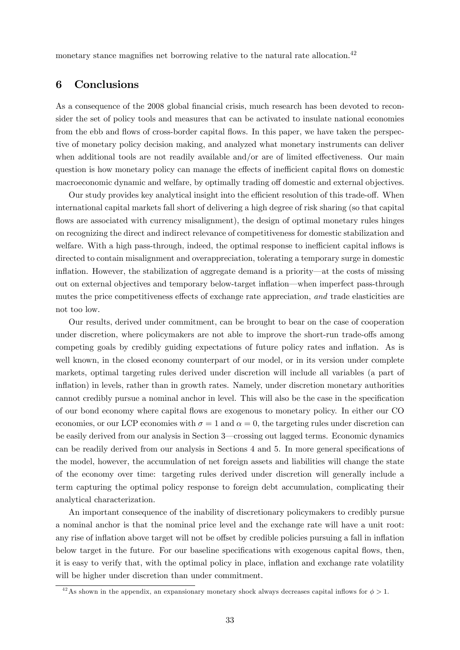monetary stance magnifies net borrowing relative to the natural rate allocation.<sup>42</sup>

### 6 Conclusions

As a consequence of the 2008 global financial crisis, much research has been devoted to reconsider the set of policy tools and measures that can be activated to insulate national economies from the ebb and flows of cross-border capital flows. In this paper, we have taken the perspective of monetary policy decision making, and analyzed what monetary instruments can deliver when additional tools are not readily available and/or are of limited effectiveness. Our main question is how monetary policy can manage the effects of inefficient capital flows on domestic macroeconomic dynamic and welfare, by optimally trading off domestic and external objectives.

Our study provides key analytical insight into the efficient resolution of this trade-off. When international capital markets fall short of delivering a high degree of risk sharing (so that capital flows are associated with currency misalignment), the design of optimal monetary rules hinges on recognizing the direct and indirect relevance of competitiveness for domestic stabilization and welfare. With a high pass-through, indeed, the optimal response to inefficient capital inflows is directed to contain misalignment and overappreciation, tolerating a temporary surge in domestic inflation. However, the stabilization of aggregate demand is a priority–at the costs of missing out on external objectives and temporary below-target inflation–when imperfect pass-through mutes the price competitiveness effects of exchange rate appreciation, *and* trade elasticities are not too low.

Our results, derived under commitment, can be brought to bear on the case of cooperation under discretion, where policymakers are not able to improve the short-run trade-offs among competing goals by credibly guiding expectations of future policy rates and inflation. As is well known, in the closed economy counterpart of our model, or in its version under complete markets, optimal targeting rules derived under discretion will include all variables (a part of inflation) in levels, rather than in growth rates. Namely, under discretion monetary authorities cannot credibly pursue a nominal anchor in level. This will also be the case in the specification of our bond economy where capital flows are exogenous to monetary policy. In either our CO economies, or our LCP economies with  $\sigma = 1$  and  $\alpha = 0$ , the targeting rules under discretion can be easily derived from our analysis in Section 3–crossing out lagged terms. Economic dynamics can be readily derived from our analysis in Sections 4 and 5. In more general specifications of the model, however, the accumulation of net foreign assets and liabilities will change the state of the economy over time: targeting rules derived under discretion will generally include a term capturing the optimal policy response to foreign debt accumulation, complicating their analytical characterization.

An important consequence of the inability of discretionary policymakers to credibly pursue a nominal anchor is that the nominal price level and the exchange rate will have a unit root: any rise of inflation above target will not be offset by credible policies pursuing a fall in inflation below target in the future. For our baseline specifications with exogenous capital flows, then, it is easy to verify that, with the optimal policy in place, inflation and exchange rate volatility will be higher under discretion than under commitment.

<sup>&</sup>lt;sup>42</sup>As shown in the appendix, an expansionary monetary shock always decreases capital inflows for  $\phi > 1$ .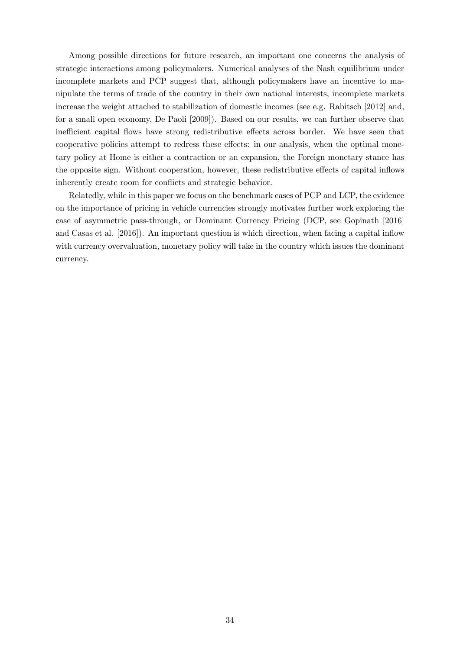Among possible directions for future research, an important one concerns the analysis of strategic interactions among policymakers. Numerical analyses of the Nash equilibrium under incomplete markets and PCP suggest that, although policymakers have an incentive to manipulate the terms of trade of the country in their own national interests, incomplete markets increase the weight attached to stabilization of domestic incomes (see e.g. Rabitsch [2012] and, for a small open economy, De Paoli [2009]). Based on our results, we can further observe that inefficient capital flows have strong redistributive effects across border. We have seen that cooperative policies attempt to redress these effects: in our analysis, when the optimal monetary policy at Home is either a contraction or an expansion, the Foreign monetary stance has the opposite sign. Without cooperation, however, these redistributive effects of capital inflows inherently create room for conflicts and strategic behavior.

Relatedly, while in this paper we focus on the benchmark cases of PCP and LCP, the evidence on the importance of pricing in vehicle currencies strongly motivates further work exploring the case of asymmetric pass-through, or Dominant Currency Pricing (DCP, see Gopinath [2016] and Casas et al. [2016]). An important question is which direction, when facing a capital inflow with currency overvaluation, monetary policy will take in the country which issues the dominant currency.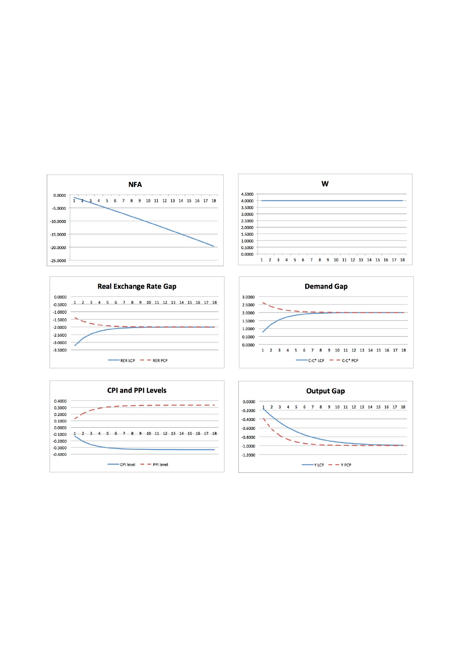









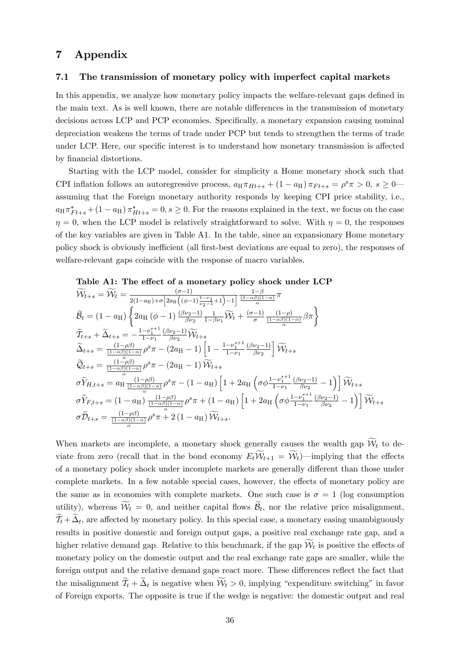### 7 Appendix

#### 7.1 The transmission of monetary policy with imperfect capital markets

In this appendix, we analyze how monetary policy impacts the welfare-relevant gaps defined in the main text. As is well known, there are notable differences in the transmission of monetary decisions across LCP and PCP economies. Specifically, a monetary expansion causing nominal depreciation weakens the terms of trade under PCP but tends to strengthen the terms of trade under LCP. Here, our specific interest is to understand how monetary transmission is affected by financial distortions.

Starting with the LCP model, consider for simplicity a Home monetary shock such that CPI inflation follows an autoregressive process,  $a_H \pi_{Ht+s} + (1 - a_H) \pi_{Ft+s} = \rho^s \pi > 0$ ,  $s \geq 0$ assuming that the Foreign monetary authority responds by keeping CPI price stability, i.e.,  $a_H \pi^*_{Ft+s} + (1 - a_H) \pi^*_{Ht+s} = 0, s \ge 0$ . For the reasons explained in the text, we focus on the case  $\eta = 0$ , when the LCP model is relatively straightforward to solve. With  $\eta = 0$ , the responses of the key variables are given in Table A1. In the table, since an expansionary Home monetary policy shock is obviously inefficient (all first-best deviations are equal to zero), the responses of welfare-relevant gaps coincide with the response of macro variables.

Table A1: The effect of a monetary policy shock under LCP  
\n
$$
\widetilde{\mathcal{W}}_{t+s} = \widetilde{\mathcal{W}}_t = \frac{(\sigma - 1)}{2(1 - a_H) + \sigma \left[2a_H\left((\phi - 1)\frac{1 - \nu_1}{\nu_2 - 1} + 1\right) - 1\right]} \frac{1 - \beta}{(1 - \alpha\beta)(1 - \alpha)} \pi
$$
\n
$$
\widetilde{B}_t = (1 - a_H) \left\{ 2a_H\left((\phi - 1)\frac{(\beta \nu_2 - 1)}{\beta \nu_2} \frac{1}{1 - \beta \nu_1} \widetilde{\mathcal{W}}_t + \frac{(\sigma - 1)}{\sigma} \frac{(1 - \rho)}{(1 - \alpha\beta)(1 - \alpha)} \beta \pi \right\}
$$
\n
$$
\widetilde{T}_{t+s} + \widetilde{\Delta}_{t+s} = -\frac{1 - \nu_1^{s+1}}{1 - \nu_1} \frac{(\beta \nu_2 - 1)}{\beta \nu_2} \widetilde{\mathcal{W}}_{t+s}
$$
\n
$$
\widetilde{\Delta}_{t+s} = \frac{(1 - \rho\beta)}{(1 - \alpha\beta)(1 - \alpha)} \rho^s \pi - (2a_H - 1) \left[1 - \frac{1 - \nu_1^{s+1}}{1 - \nu_1} \frac{(\beta \nu_2 - 1)}{\beta \nu_2}\right] \widetilde{\mathcal{W}}_{t+s}
$$
\n
$$
\widetilde{C}_{t+s} = \frac{(1 - \rho\beta)}{(1 - \alpha\beta)(1 - \alpha)} \rho^s \pi - (2a_H - 1) \widetilde{\mathcal{W}}_{t+s}
$$
\n
$$
\sigma \widetilde{Y}_{H, t+s} = a_H \frac{(1 - \rho\beta)}{(1 - \alpha\beta)(1 - \alpha)} \rho^s \pi - (1 - a_H) \left[1 + 2a_H \left(\sigma \phi \frac{1 - \nu_1^{s+1}}{1 - \nu_1} \frac{(\beta \nu_2 - 1)}{\beta \nu_2} - 1\right)\right] \widetilde{\mathcal{W}}_{t+s}
$$
\n
$$
\sigma \widetilde{Y}_{F, t+s} = (1 - a_H) \frac{(1 - \rho\beta)}{(1 - \alpha\beta)(1 - \alpha)} \rho^s \pi + (1 - a_H) \left[1 + 2a_H \left(\sigma \phi \frac{
$$

When markets are incomplete, a monetary shock generally causes the wealth gap  $W_t$  to deviate from zero (recall that in the bond economy  $E_t W_{t+1} = W_t$ )—implying that the effects of a monetary policy shock under incomplete markets are generally different than those under complete markets. In a few notable special cases, however, the effects of monetary policy are the same as in economies with complete markets. One such case is  $\sigma = 1$  (log consumption utility), whereas  $W_t = 0$ , and neither capital flows  $B_t$ , nor the relative price misalignment,  $\mathcal{T}_t + \Delta_t$ , are affected by monetary policy. In this special case, a monetary easing unambiguously results in positive domestic and foreign output gaps, a positive real exchange rate gap, and a higher relative demand gap. Relative to this benchmark, if the gap  $\mathcal{W}_t$  is positive the effects of monetary policy on the domestic output and the real exchange rate gaps are smaller, while the foreign output and the relative demand gaps react more. These differences reflect the fact that the misalignment  $\mathcal{T}_t + \Delta_t$  is negative when  $\mathcal{W}_t > 0$ , implying "expenditure switching" in favor of Foreign exports. The opposite is true if the wedge is negative: the domestic output and real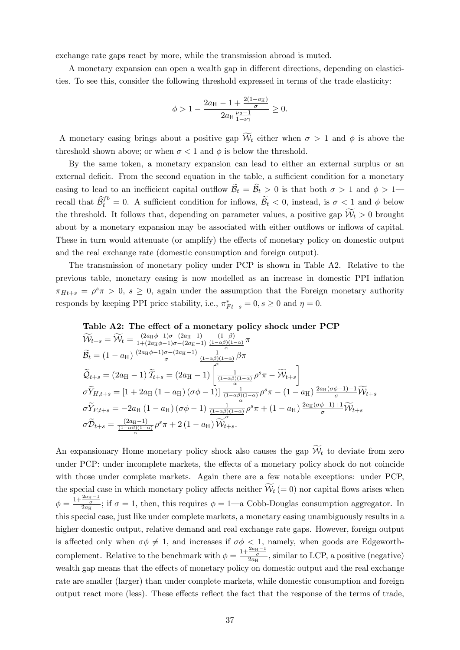exchange rate gaps react by more, while the transmission abroad is muted.

A monetary expansion can open a wealth gap in different directions, depending on elasticities. To see this, consider the following threshold expressed in terms of the trade elasticity:

$$
\phi > 1 - \frac{2a_{\rm H} - 1 + \frac{2(1 - a_{\rm H})}{\sigma}}{2a_{\rm H} \frac{\nu_2 - 1}{1 - \nu_1}} \ge 0.
$$

A monetary easing brings about a positive gap  $W_t$  either when  $\sigma > 1$  and  $\phi$  is above the threshold shown above; or when  $\sigma < 1$  and  $\phi$  is below the threshold.

By the same token, a monetary expansion can lead to either an external surplus or an external deficit. From the second equation in the table, a sufficient condition for a monetary easing to lead to an inefficient capital outflow  $\widetilde{\mathcal{B}}_t = \widehat{\mathcal{B}}_t > 0$  is that both  $\sigma > 1$  and  $\phi > 1$  recall that  $\widehat{\mathcal{B}}_t^{fb} = 0$ . A sufficient condition for inflows,  $\widetilde{\mathcal{B}}_t < 0$ , instead, is  $\sigma < 1$  and  $\phi$  below the threshold. It follows that, depending on parameter values, a positive gap  $W_t > 0$  brought about by a monetary expansion may be associated with either outflows or inflows of capital. These in turn would attenuate (or amplify) the effects of monetary policy on domestic output and the real exchange rate (domestic consumption and foreign output).

The transmission of monetary policy under PCP is shown in Table A2. Relative to the previous table, monetary easing is now modelled as an increase in domestic PPI inflation  $\pi_{Ht+s} = \rho^s \pi > 0$ ,  $s \geq 0$ , again under the assumption that the Foreign monetary authority responds by keeping PPI price stability, i.e.,  $\pi^*_{Ft+s} = 0, s \ge 0$  and  $\eta = 0$ .



$$
\widetilde{\mathcal{W}}_{t+s} = \widetilde{\mathcal{W}}_t = \frac{(2a_H\phi - 1)\sigma - (2a_H - 1)}{1 + (2a_H\phi - 1)\sigma - (2a_H - 1)} \frac{(1-\beta)}{(1-\alpha\beta)(1-\alpha)} \pi \n\widetilde{\mathcal{B}}_t = (1 - a_H) \frac{(2a_H\phi - 1)\sigma - (2a_H - 1)}{\sigma} \frac{1}{\frac{(1-\alpha\beta)(1-\alpha)}{(1-\alpha\beta)(1-\alpha)}} \beta \pi \n\widetilde{\mathcal{Q}}_{t+s} = (2a_H - 1) \widetilde{\mathcal{T}}_{t+s} = (2a_H - 1) \left[ \frac{1}{\frac{(1-\alpha\beta)(1-\alpha)}{\alpha}} \rho^s \pi - \widetilde{\mathcal{W}}_{t+s} \right] \n\sigma \widetilde{Y}_{H,t+s} = [1 + 2a_H (1 - a_H) (\sigma\phi - 1)] \frac{1}{\frac{(1-\alpha\beta)(1-\alpha)}{\alpha}} \rho^s \pi - (1 - a_H) \frac{2a_H(\sigma\phi - 1) + 1}{\sigma} \widetilde{\mathcal{W}}_{t+s} \n\sigma \widetilde{Y}_{F,t+s} = -2a_H (1 - a_H) (\sigma\phi - 1) \frac{1}{\frac{(1-\alpha\beta)(1-\alpha)}{\alpha}} \rho^s \pi + (1 - a_H) \frac{2a_H(\sigma\phi - 1) + 1}{\sigma} \widetilde{\mathcal{W}}_{t+s} \n\sigma \widetilde{\mathcal{D}}_{t+s} = \frac{(2a_H - 1)}{(1-\alpha\beta)(1-\alpha)} \rho^s \pi + 2 (1 - a_H) \widetilde{\mathcal{W}}_{t+s}.
$$

An expansionary Home monetary policy shock also causes the gap  $\mathcal{W}_t$  to deviate from zero under PCP: under incomplete markets, the effects of a monetary policy shock do not coincide with those under complete markets. Again there are a few notable exceptions: under PCP, the special case in which monetary policy affects neither  $\mathcal{W}_t (= 0)$  nor capital flows arises when  $\phi = \frac{1+\frac{2a_{\text{H}}-1}{\sigma}}{2a_{\text{H}}};$  if  $\sigma = 1$ , then, this requires  $\phi = 1$ —a Cobb-Douglas consumption aggregator. In this special case, just like under complete markets, a monetary easing unambiguously results in a higher domestic output, relative demand and real exchange rate gaps. However, foreign output is affected only when  $\sigma\phi \neq 1$ , and increases if  $\sigma\phi \leq 1$ , namely, when goods are Edgeworthcomplement. Relative to the benchmark with  $\phi = \frac{1 + \frac{2a_H - 1}{\sigma}}{2a_H}$ , similar to LCP, a positive (negative) wealth gap means that the effects of monetary policy on domestic output and the real exchange rate are smaller (larger) than under complete markets, while domestic consumption and foreign output react more (less). These effects reflect the fact that the response of the terms of trade,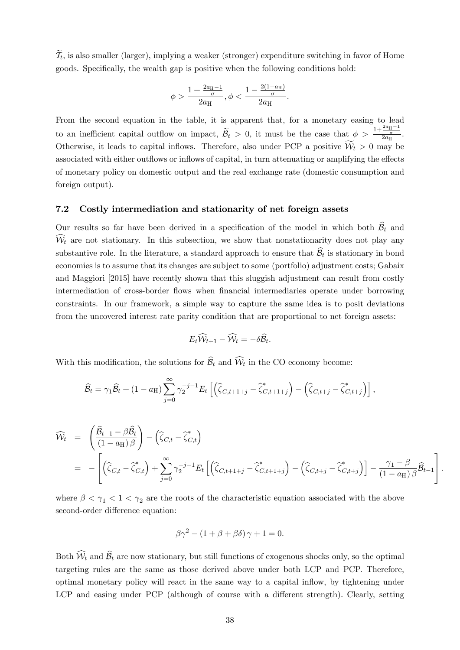$\mathcal{T}_t$ , is also smaller (larger), implying a weaker (stronger) expenditure switching in favor of Home goods. Specifically, the wealth gap is positive when the following conditions hold:

$$
\phi > \frac{1 + \frac{2a_{\rm H} - 1}{\sigma}}{2a_{\rm H}}, \phi < \frac{1 - \frac{2(1 - a_{\rm H})}{\sigma}}{2a_{\rm H}}.
$$

From the second equation in the table, it is apparent that, for a monetary easing to lead to an inefficient capital outflow on impact,  $\widetilde{\mathcal{B}}_t > 0$ , it must be the case that  $\phi > \frac{1+\frac{2a_{\text{H}}-1}{\sigma}}{2a_{\text{H}}}.$ Otherwise, it leads to capital inflows. Therefore, also under PCP a positive  $W_t > 0$  may be associated with either outflows or inflows of capital, in turn attenuating or amplifying the effects of monetary policy on domestic output and the real exchange rate (domestic consumption and foreign output).

### 7.2 Costly intermediation and stationarity of net foreign assets

Our results so far have been derived in a specification of the model in which both  $\widehat{\mathcal{B}}_t$  and  $W_t$  are not stationary. In this subsection, we show that nonstationarity does not play any substantive role. In the literature, a standard approach to ensure that  $\widehat{\mathcal{B}}_t$  is stationary in bond economies is to assume that its changes are subject to some (portfolio) adjustment costs; Gabaix and Maggiori [2015] have recently shown that this sluggish adjustment can result from costly intermediation of cross-border flows when financial intermediaries operate under borrowing constraints. In our framework, a simple way to capture the same idea is to posit deviations from the uncovered interest rate parity condition that are proportional to net foreign assets:

$$
E_t \widehat{\mathcal{W}}_{t+1} - \widehat{\mathcal{W}}_t = -\delta \widehat{\mathcal{B}}_t.
$$

With this modification, the solutions for  $B_t$  and  $W_t$  in the CO economy become:

$$
\widehat{\mathcal{B}}_t = \gamma_1 \widehat{\mathcal{B}}_t + (1 - a_H) \sum_{j=0}^{\infty} \gamma_2^{-j-1} E_t \left[ \left( \widehat{\zeta}_{C,t+1+j} - \widehat{\zeta}_{C,t+1+j}^* \right) - \left( \widehat{\zeta}_{C,t+j} - \widehat{\zeta}_{C,t+j}^* \right) \right],
$$

$$
\widehat{\mathcal{W}}_t = \left( \frac{\widehat{\mathcal{B}}_{t-1} - \beta \widehat{\mathcal{B}}_t}{(1 - a_H) \beta} \right) - \left( \widehat{\zeta}_{C,t} - \widehat{\zeta}_{C,t}^* \right)
$$
\n
$$
= - \left[ \left( \widehat{\zeta}_{C,t} - \widehat{\zeta}_{C,t}^* \right) + \sum_{j=0}^{\infty} \gamma_2^{-j-1} E_t \left[ \left( \widehat{\zeta}_{C,t+1+j} - \widehat{\zeta}_{C,t+1+j}^* \right) - \left( \widehat{\zeta}_{C,t+j} - \widehat{\zeta}_{C,t+j}^* \right) \right] - \frac{\gamma_1 - \beta}{(1 - a_H) \beta} \widehat{\mathcal{B}}_{t-1} \right].
$$

where  $\beta < \gamma_1 < 1 < \gamma_2$  are the roots of the characteristic equation associated with the above second-order difference equation:

$$
\beta \gamma^2 - (1 + \beta + \beta \delta) \gamma + 1 = 0.
$$

Both  $W_t$  and  $B_t$  are now stationary, but still functions of exogenous shocks only, so the optimal targeting rules are the same as those derived above under both LCP and PCP. Therefore, optimal monetary policy will react in the same way to a capital inflow, by tightening under LCP and easing under PCP (although of course with a different strength). Clearly, setting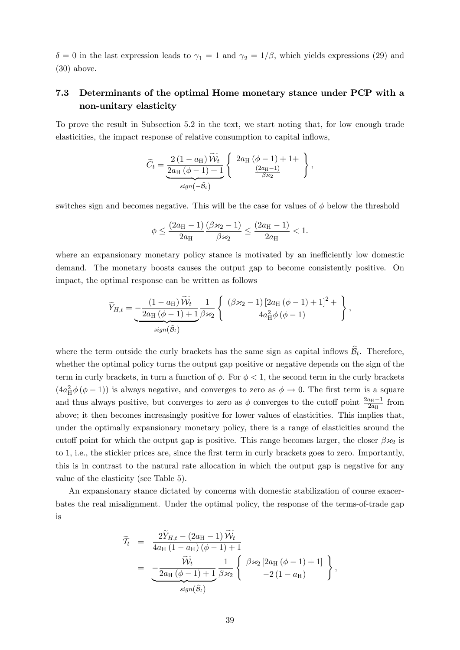$\delta = 0$  in the last expression leads to  $\gamma_1 = 1$  and  $\gamma_2 = 1/\beta$ , which yields expressions (29) and (30) above.

### 7.3 Determinants of the optimal Home monetary stance under PCP with a non-unitary elasticity

To prove the result in Subsection 5.2 in the text, we start noting that, for low enough trade elasticities, the impact response of relative consumption to capital inflows,

$$
\widetilde{C}_t = \underbrace{\frac{2(1-a_{\mathrm{H}})\,\widetilde{\mathcal{W}}_t}{2a_{\mathrm{H}}\,(\phi-1)+1}}_{sign(-\widehat{B}_t)} \left\{ \begin{array}{c} 2a_{\mathrm{H}}\,(\phi-1)+1+ \\ \frac{(2a_{\mathrm{H}}-1)}{\beta \times 2} \end{array} \right\},
$$

switches sign and becomes negative. This will be the case for values of  $\phi$  below the threshold

$$
\phi \leq \frac{(2a_{\mathrm{H}}-1)}{2a_{\mathrm{H}}} \frac{(\beta \varkappa_2 - 1)}{\beta \varkappa_2} \leq \frac{(2a_{\mathrm{H}}-1)}{2a_{\mathrm{H}}} < 1.
$$

where an expansionary monetary policy stance is motivated by an inefficiently low domestic demand. The monetary boosts causes the output gap to become consistently positive. On impact, the optimal response can be written as follows

$$
\widetilde{Y}_{H,t} = \underbrace{-\frac{(1-a_{\mathrm{H}})\,\widetilde{\mathcal{W}}_t}{2a_{\mathrm{H}}\,(\phi-1)+1} \frac{1}{\beta \varkappa_2} \left\{ \begin{array}{c} (\beta \varkappa_2 - 1) \left[2a_{\mathrm{H}}\,(\phi-1) + 1\right]^2 + \\ 4a_{\mathrm{H}}^2 \phi\,(\phi-1) \end{array} \right\},
$$
\n
$$
\widetilde{\mathcal{W}}_H
$$

where the term outside the curly brackets has the same sign as capital inflows  $\widehat{\mathcal{B}}_t$ . Therefore, whether the optimal policy turns the output gap positive or negative depends on the sign of the term in curly brackets, in turn a function of  $\phi$ . For  $\phi < 1$ , the second term in the curly brackets  $(4a_H^2 \phi (\phi - 1))$  is always negative, and converges to zero as  $\phi \to 0$ . The first term is a square and thus always positive, but converges to zero as  $\phi$  converges to the cutoff point  $\frac{2a_{\text{H}}-1}{2a_{\text{H}}}$  from above; it then becomes increasingly positive for lower values of elasticities. This implies that, under the optimally expansionary monetary policy, there is a range of elasticities around the cutoff point for which the output gap is positive. This range becomes larger, the closer  $\beta \varkappa_2$  is to 1, i.e., the stickier prices are, since the first term in curly brackets goes to zero. Importantly, this is in contrast to the natural rate allocation in which the output gap is negative for any value of the elasticity (see Table 5).

An expansionary stance dictated by concerns with domestic stabilization of course exacerbates the real misalignment. Under the optimal policy, the response of the terms-of-trade gap is

$$
\widetilde{\mathcal{T}}_t = \frac{2\widetilde{Y}_{H,t} - (2a_H - 1)\widetilde{\mathcal{W}}_t}{4a_H (1 - a_H)(\phi - 1) + 1} \n= \frac{\widetilde{\mathcal{W}}_t}{2a_H (\phi - 1) + 1} \frac{1}{\beta \varkappa_2} \left\{ \begin{array}{c} \beta \varkappa_2 \left[ 2a_H (\phi - 1) + 1 \right] \\ -2(1 - a_H) \end{array} \right\},
$$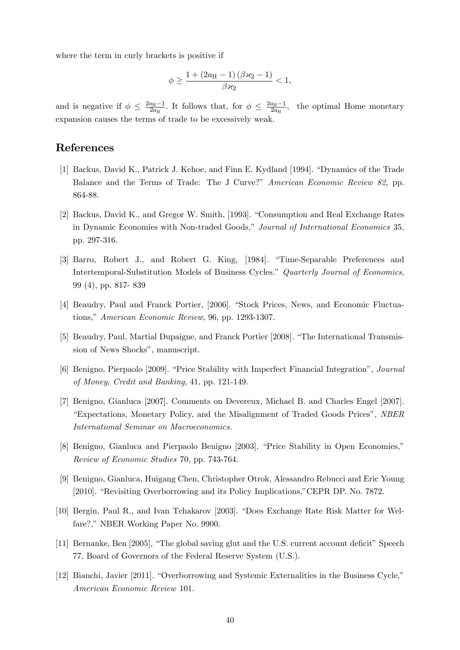where the term in curly brackets is positive if

$$
\phi \geq \frac{1 + (2a_{\mathrm{H}} - 1)(\beta \varkappa_2 - 1)}{\beta \varkappa_2} < 1,
$$

and is negative if  $\phi \leq \frac{2a_{\text{H}}-1}{2a_{\text{H}}}$ . It follows that, for  $\phi \leq \frac{2a_{\text{H}}-1}{2a_{\text{H}}}$ , the optimal Home monetary expansion causes the terms of trade to be excessively weak.

### References

- [1] Backus, David K., Patrick J. Kehoe, and Finn E. Kydland [1994]. "Dynamics of the Trade Balance and the Terms of Trade: The J Curve?" *American Economic Review 82,* pp. 864-88.
- [2] Backus, David K., and Gregor W. Smith, [1993]. "Consumption and Real Exchange Rates in Dynamic Economies with Non-traded Goods," *Journal of International Economics* 35, pp. 297-316.
- [3] Barro, Robert J., and Robert G. King, [1984]. "Time-Separable Preferences and Intertemporal-Substitution Models of Business Cycles." *Quarterly Journal of Economics*, 99 (4), pp. 817- 839
- [4] Beaudry, Paul and Franck Portier, [2006]. "Stock Prices, News, and Economic Fluctuations," *American Economic Review*, 96, pp. 1293-1307.
- [5] Beaudry, Paul, Martial Dupaigne, and Franck Portier [2008]. "The International Transmission of News Shocks", manuscript.
- [6] Benigno, Pierpaolo [2009]. "Price Stability with Imperfect Financial Integration", *Journal of Money, Credit and Banking*, 41, pp. 121-149.
- [7] Benigno, Gianluca [2007]. Comments on Devereux, Michael B. and Charles Engel [2007]. "Expectations, Monetary Policy, and the Misalignment of Traded Goods Prices", *NBER International Seminar on Macroeconomics.*
- [8] Benigno, Gianluca and Pierpaolo Benigno [2003]. "Price Stability in Open Economies," *Review of Economic Studies* 70, pp. 743-764.
- [9] Benigno, Gianluca, Huigang Chen, Christopher Otrok, Alessandro Rebucci and Eric Young [2010]. "Revisiting Overborrowing and its Policy Implications,"CEPR DP. No. 7872.
- [10] Bergin, Paul R., and Ivan Tchakarov [2003]. "Does Exchange Rate Risk Matter for Welfare?," NBER Working Paper No. 9900.
- [11] Bernanke, Ben [2005], "The global saving glut and the U.S. current account deficit" Speech 77, Board of Governors of the Federal Reserve System (U.S.).
- [12] Bianchi, Javier [2011]. "Overborrowing and Systemic Externalities in the Business Cycle," *American Economic Review* 101.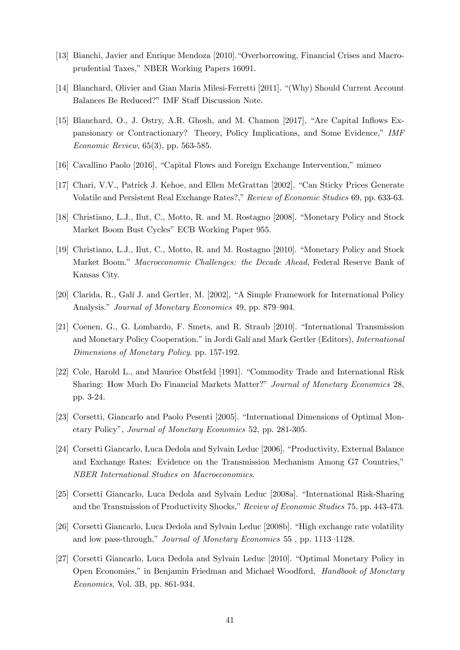- [13] Bianchi, Javier and Enrique Mendoza [2010]."Overborrowing, Financial Crises and Macroprudential Taxes," NBER Working Papers 16091.
- [14] Blanchard, Olivier and Gian Maria Milesi-Ferretti [2011]. "(Why) Should Current Account Balances Be Reduced?" IMF Staff Discussion Note.
- [15] Blanchard, O., J. Ostry, A.R. Ghosh, and M. Chamon [2017], "Are Capital Inflows Expansionary or Contractionary? Theory, Policy Implications, and Some Evidence," *IMF Economic Review*, 65(3), pp. 563-585.
- [16] Cavallino Paolo [2016], "Capital Flows and Foreign Exchange Intervention," mimeo
- [17] Chari, V.V., Patrick J. Kehoe, and Ellen McGrattan [2002]. "Can Sticky Prices Generate Volatile and Persistent Real Exchange Rates?," *Review of Economic Studies* 69, pp. 633-63.
- [18] Christiano, L.J., Ilut, C., Motto, R. and M. Rostagno [2008]. "Monetary Policy and Stock Market Boom Bust Cycles" ECB Working Paper 955.
- [19] Christiano, L.J., Ilut, C., Motto, R. and M. Rostagno [2010]. "Monetary Policy and Stock Market Boom." *Macroeconomic Challenges: the Decade Ahead*, Federal Reserve Bank of Kansas City.
- [20] Clarida, R., Galí J. and Gertler, M. [2002], "A Simple Framework for International Policy Analysis." *Journal of Monetary Economics* 49, pp. 879—904.
- [21] Coenen, G., G. Lombardo, F. Smets, and R. Straub [2010]. "International Transmission and Monetary Policy Cooperation." in Jordi Galí and Mark Gertler (Editors), *International Dimensions of Monetary Policy*. pp. 157-192.
- [22] Cole, Harold L., and Maurice Obstfeld [1991]. "Commodity Trade and International Risk Sharing: How Much Do Financial Markets Matter?" *Journal of Monetary Economics* 28, pp. 3-24.
- [23] Corsetti, Giancarlo and Paolo Pesenti [2005]. "International Dimensions of Optimal Monetary Policy", *Journal of Monetary Economics* 52, pp. 281-305.
- [24] Corsetti Giancarlo, Luca Dedola and Sylvain Leduc [2006]. "Productivity, External Balance and Exchange Rates: Evidence on the Transmission Mechanism Among G7 Countries," *NBER International Studies on Macroeconomics*.
- [25] Corsetti Giancarlo, Luca Dedola and Sylvain Leduc [2008a]. "International Risk-Sharing and the Transmission of Productivity Shocks," *Review of Economic Studies* 75, pp. 443-473.
- [26] Corsetti Giancarlo, Luca Dedola and Sylvain Leduc [2008b]. "High exchange rate volatility and low pass-through," *Journal of Monetary Economics* 55 , pp. 1113—1128.
- [27] Corsetti Giancarlo, Luca Dedola and Sylvain Leduc [2010]. "Optimal Monetary Policy in Open Economies," in Benjamin Friedman and Michael Woodford, *Handbook of Monetary Economics*, Vol. 3B, pp. 861-934.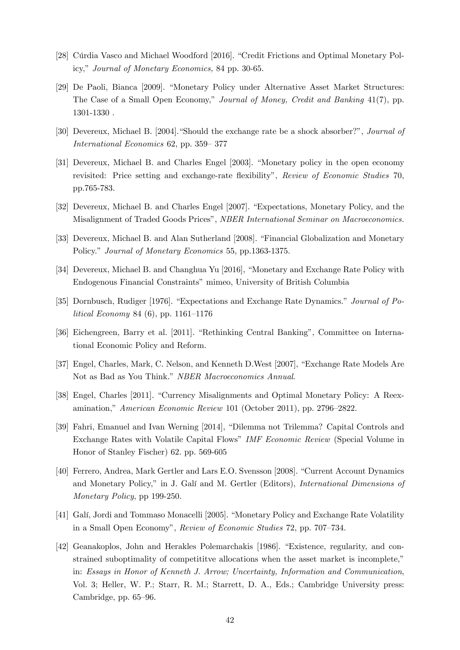- [28] Cúrdia Vasco and Michael Woodford [2016]. "Credit Frictions and Optimal Monetary Policy," *Journal of Monetary Economics,* 84 pp. 30-65.
- [29] De Paoli, Bianca [2009]. "Monetary Policy under Alternative Asset Market Structures: The Case of a Small Open Economy," *Journal of Money, Credit and Banking* 41(7), pp. 1301-1330 .
- [30] Devereux, Michael B. [2004]."Should the exchange rate be a shock absorber?", *Journal of International Economics* 62, pp. 359— 377
- [31] Devereux, Michael B. and Charles Engel [2003]. "Monetary policy in the open economy revisited: Price setting and exchange-rate flexibility", *Review of Economic Studies* 70, pp.765-783.
- [32] Devereux, Michael B. and Charles Engel [2007]. "Expectations, Monetary Policy, and the Misalignment of Traded Goods Prices", *NBER International Seminar on Macroeconomics.*
- [33] Devereux, Michael B. and Alan Sutherland [2008]. "Financial Globalization and Monetary Policy." *Journal of Monetary Economics* 55, pp.1363-1375.
- [34] Devereux, Michael B. and Changhua Yu [2016], "Monetary and Exchange Rate Policy with Endogenous Financial Constraints" mimeo, University of British Columbia
- [35] Dornbusch, Rudiger [1976]. "Expectations and Exchange Rate Dynamics." *Journal of Political Economy* 84 (6), pp. 1161—1176
- [36] Eichengreen, Barry et al. [2011]. "Rethinking Central Banking", Committee on International Economic Policy and Reform.
- [37] Engel, Charles, Mark, C. Nelson, and Kenneth D.West [2007], "Exchange Rate Models Are Not as Bad as You Think." *NBER Macroeconomics Annual*.
- [38] Engel, Charles [2011]. "Currency Misalignments and Optimal Monetary Policy: A Reexamination," *American Economic Review* 101 (October 2011), pp. 2796—2822.
- [39] Fahri, Emanuel and Ivan Werning [2014], "Dilemma not Trilemma? Capital Controls and Exchange Rates with Volatile Capital Flows" *IMF Economic Review* (Special Volume in Honor of Stanley Fischer) 62. pp. 569-605
- [40] Ferrero, Andrea, Mark Gertler and Lars E.O. Svensson [2008]. "Current Account Dynamics and Monetary Policy," in J. Galí and M. Gertler (Editors), *International Dimensions of Monetary Policy*, pp 199-250.
- [41] Galí, Jordi and Tommaso Monacelli [2005]. "Monetary Policy and Exchange Rate Volatility in a Small Open Economy", *Review of Economic Studies* 72, pp. 707—734.
- [42] Geanakoplos, John and Herakles Polemarchakis [1986]. "Existence, regularity, and constrained suboptimality of competititve allocations when the asset market is incomplete," in: *Essays in Honor of Kenneth J. Arrow; Uncertainty, Information and Communication*, Vol. 3; Heller, W. P.; Starr, R. M.; Starrett, D. A., Eds.; Cambridge University press: Cambridge, pp. 65—96.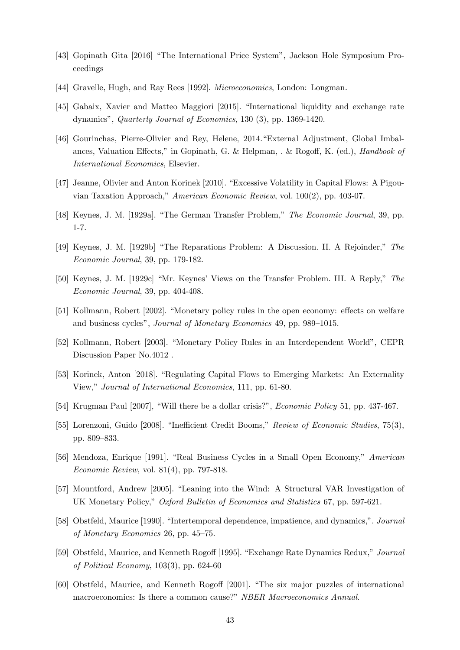- [43] Gopinath Gita [2016] "The International Price System", Jackson Hole Symposium Proceedings
- [44] Gravelle, Hugh, and Ray Rees [1992]. *Microeconomics*, London: Longman.
- [45] Gabaix, Xavier and Matteo Maggiori [2015]. "International liquidity and exchange rate dynamics", *Quarterly Journal of Economics*, 130 (3), pp. 1369-1420.
- [46] Gourinchas, Pierre-Olivier and Rey, Helene, 2014."External Adjustment, Global Imbalances, Valuation Effects," in Gopinath, G. & Helpman, . & Rogoff, K. (ed.), *Handbook of International Economics*, Elsevier.
- [47] Jeanne, Olivier and Anton Korinek [2010]. "Excessive Volatility in Capital Flows: A Pigouvian Taxation Approach," *American Economic Review*, vol. 100(2), pp. 403-07.
- [48] Keynes, J. M. [1929a]. "The German Transfer Problem," *The Economic Journal*, 39, pp. 1-7.
- [49] Keynes, J. M. [1929b] "The Reparations Problem: A Discussion. II. A Rejoinder," *The Economic Journal*, 39, pp. 179-182.
- [50] Keynes, J. M. [1929c] "Mr. Keynes' Views on the Transfer Problem. III. A Reply," *The Economic Journal*, 39, pp. 404-408.
- [51] Kollmann, Robert [2002]. "Monetary policy rules in the open economy: effects on welfare and business cycles", *Journal of Monetary Economics* 49, pp. 989—1015.
- [52] Kollmann, Robert [2003]. "Monetary Policy Rules in an Interdependent World", CEPR Discussion Paper No.4012 .
- [53] Korinek, Anton [2018]. "Regulating Capital Flows to Emerging Markets: An Externality View," *Journal of International Economics*, 111, pp. 61-80.
- [54] Krugman Paul [2007], "Will there be a dollar crisis?", *Economic Policy* 51, pp. 437-467.
- [55] Lorenzoni, Guido [2008]. "Inefficient Credit Booms," *Review of Economic Studies*, 75(3), pp. 809—833.
- [56] Mendoza, Enrique [1991]. "Real Business Cycles in a Small Open Economy," *American Economic Review,* vol. 81(4), pp. 797-818.
- [57] Mountford, Andrew [2005]. "Leaning into the Wind: A Structural VAR Investigation of UK Monetary Policy," *Oxford Bulletin of Economics and Statistics* 67, pp. 597-621.
- [58] Obstfeld, Maurice [1990]. "Intertemporal dependence, impatience, and dynamics,". *Journal of Monetary Economics* 26, pp. 45—75.
- [59] Obstfeld, Maurice, and Kenneth Rogo§ [1995]. "Exchange Rate Dynamics Redux," *Journal of Political Economy*, 103(3), pp. 624-60
- [60] Obstfeld, Maurice, and Kenneth Rogoff [2001]. "The six major puzzles of international macroeconomics: Is there a common cause?" *NBER Macroeconomics Annual*.